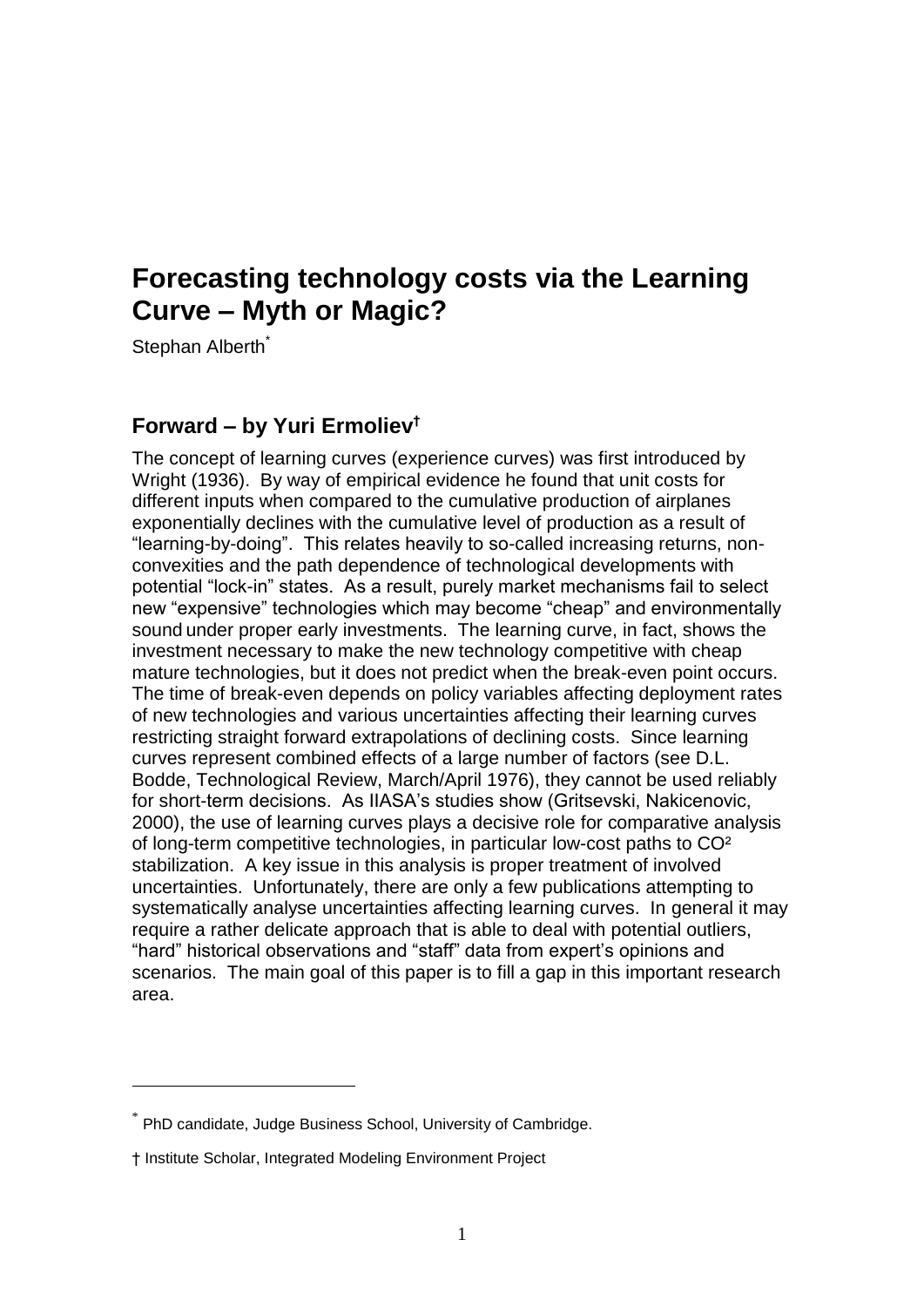# **Forecasting technology costs via the Learning Curve – Myth or Magic?**

Stephan Alberth<sup>\*</sup>

-

# **Forward – by Yuri Ermoliev†**

The concept of learning curves (experience curves) was first introduced by Wright (1936). By way of empirical evidence he found that unit costs for different inputs when compared to the cumulative production of airplanes exponentially declines with the cumulative level of production as a result of "learning-by-doing". This relates heavily to so-called increasing returns, nonconvexities and the path dependence of technological developments with potential "lock-in" states. As a result, purely market mechanisms fail to select new "expensive" technologies which may become "cheap" and environmentally sound under proper early investments. The learning curve, in fact, shows the investment necessary to make the new technology competitive with cheap mature technologies, but it does not predict when the break-even point occurs. The time of break-even depends on policy variables affecting deployment rates of new technologies and various uncertainties affecting their learning curves restricting straight forward extrapolations of declining costs. Since learning curves represent combined effects of a large number of factors (see D.L. Bodde, Technological Review, March/April 1976), they cannot be used reliably for short-term decisions. As IIASA"s studies show (Gritsevski, Nakicenovic, 2000), the use of learning curves plays a decisive role for comparative analysis of long-term competitive technologies, in particular low-cost paths to CO² stabilization. A key issue in this analysis is proper treatment of involved uncertainties. Unfortunately, there are only a few publications attempting to systematically analyse uncertainties affecting learning curves. In general it may require a rather delicate approach that is able to deal with potential outliers, "hard" historical observations and "staff" data from expert"s opinions and scenarios. The main goal of this paper is to fill a gap in this important research area.

<sup>\*</sup> PhD candidate, Judge Business School, University of Cambridge.

<sup>†</sup> Institute Scholar, Integrated Modeling Environment Project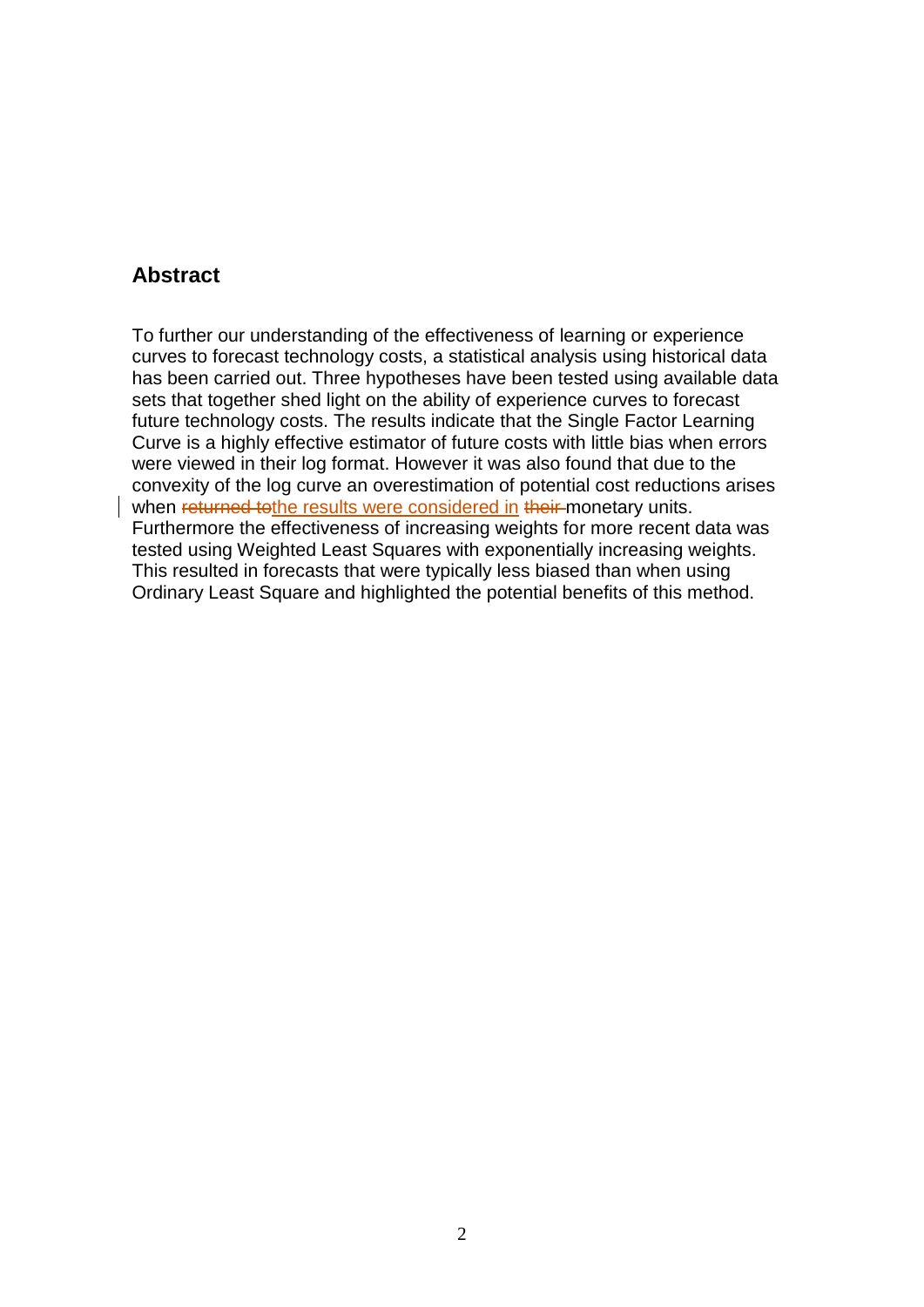# **Abstract**

To further our understanding of the effectiveness of learning or experience curves to forecast technology costs, a statistical analysis using historical data has been carried out. Three hypotheses have been tested using available data sets that together shed light on the ability of experience curves to forecast future technology costs. The results indicate that the Single Factor Learning Curve is a highly effective estimator of future costs with little bias when errors were viewed in their log format. However it was also found that due to the convexity of the log curve an overestimation of potential cost reductions arises when returned tothe results were considered in their monetary units. Furthermore the effectiveness of increasing weights for more recent data was tested using Weighted Least Squares with exponentially increasing weights. This resulted in forecasts that were typically less biased than when using Ordinary Least Square and highlighted the potential benefits of this method.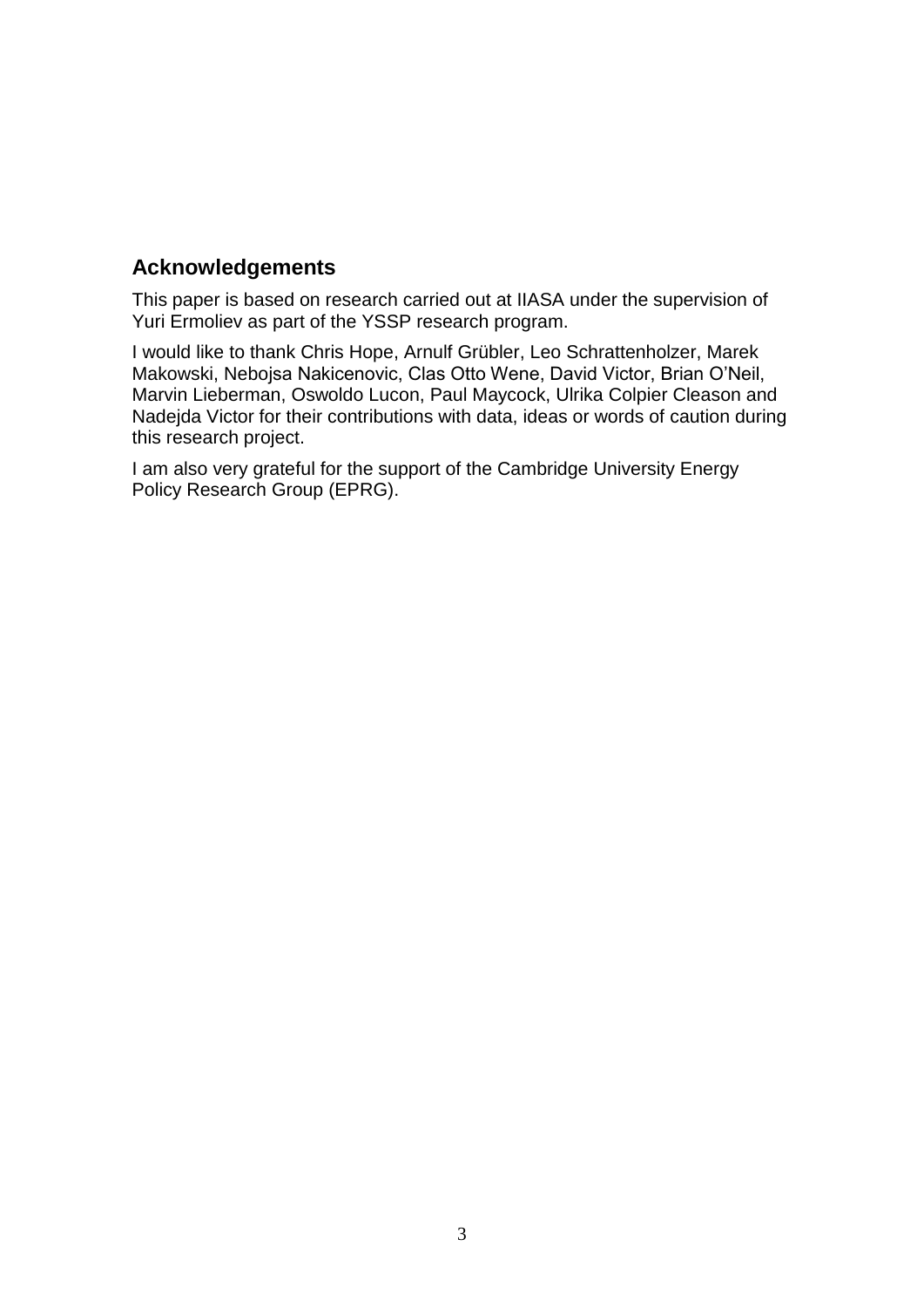# **Acknowledgements**

This paper is based on research carried out at IIASA under the supervision of Yuri Ermoliev as part of the YSSP research program.

I would like to thank Chris Hope, Arnulf Grübler, Leo Schrattenholzer, Marek Makowski, Nebojsa Nakicenovic, Clas Otto Wene, David Victor, Brian O"Neil, Marvin Lieberman, Oswoldo Lucon, Paul Maycock, Ulrika Colpier Cleason and Nadejda Victor for their contributions with data, ideas or words of caution during this research project.

I am also very grateful for the support of the Cambridge University Energy Policy Research Group (EPRG).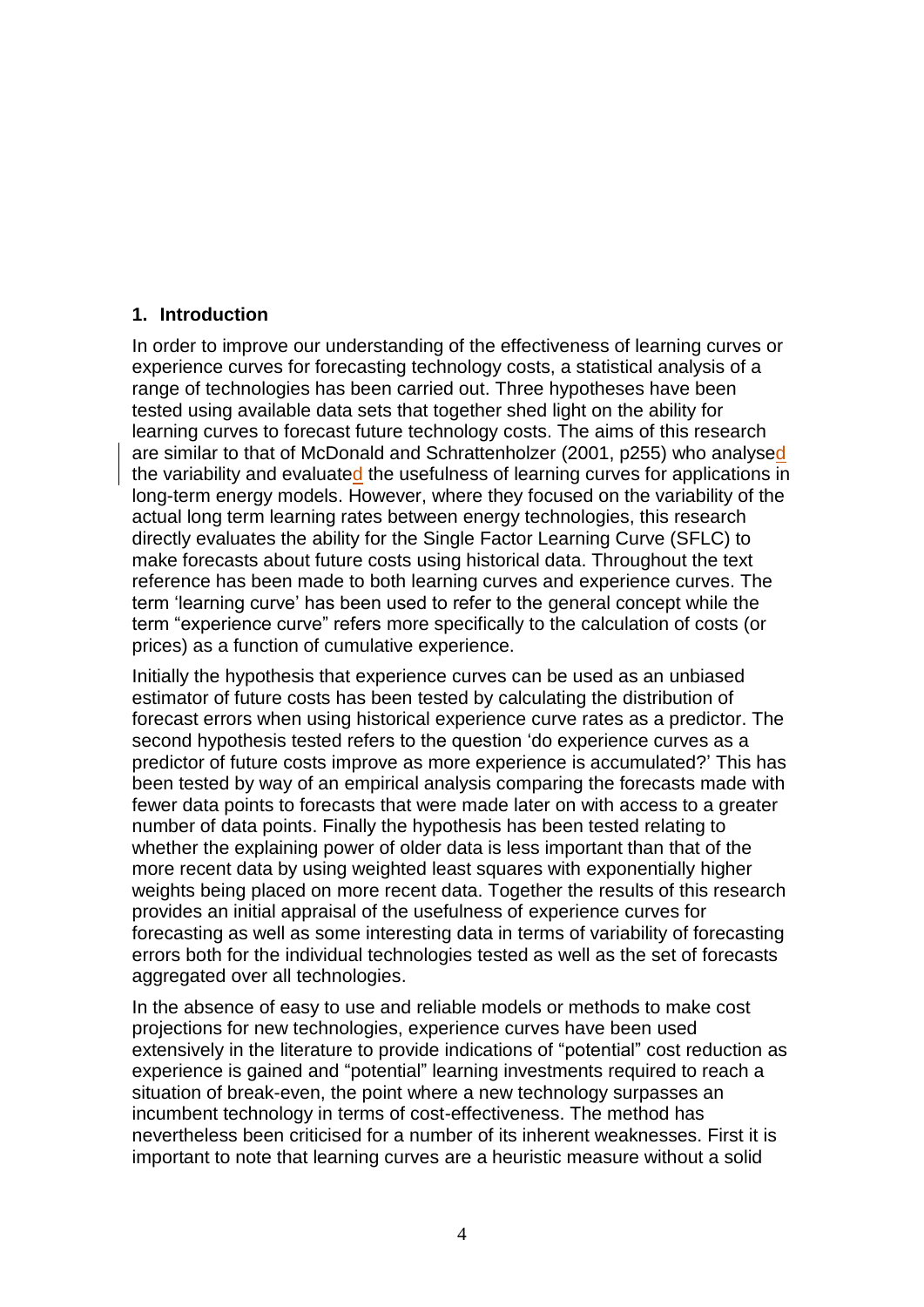#### **1. Introduction**

In order to improve our understanding of the effectiveness of learning curves or experience curves for forecasting technology costs, a statistical analysis of a range of technologies has been carried out. Three hypotheses have been tested using available data sets that together shed light on the ability for learning curves to forecast future technology costs. The aims of this research are similar to that of McDonald and Schrattenholzer (2001, p255) who analysed the variability and evaluated the usefulness of learning curves for applications in long-term energy models. However, where they focused on the variability of the actual long term learning rates between energy technologies, this research directly evaluates the ability for the Single Factor Learning Curve (SFLC) to make forecasts about future costs using historical data. Throughout the text reference has been made to both learning curves and experience curves. The term "learning curve" has been used to refer to the general concept while the term "experience curve" refers more specifically to the calculation of costs (or prices) as a function of cumulative experience.

Initially the hypothesis that experience curves can be used as an unbiased estimator of future costs has been tested by calculating the distribution of forecast errors when using historical experience curve rates as a predictor. The second hypothesis tested refers to the question "do experience curves as a predictor of future costs improve as more experience is accumulated?" This has been tested by way of an empirical analysis comparing the forecasts made with fewer data points to forecasts that were made later on with access to a greater number of data points. Finally the hypothesis has been tested relating to whether the explaining power of older data is less important than that of the more recent data by using weighted least squares with exponentially higher weights being placed on more recent data. Together the results of this research provides an initial appraisal of the usefulness of experience curves for forecasting as well as some interesting data in terms of variability of forecasting errors both for the individual technologies tested as well as the set of forecasts aggregated over all technologies.

In the absence of easy to use and reliable models or methods to make cost projections for new technologies, experience curves have been used extensively in the literature to provide indications of "potential" cost reduction as experience is gained and "potential" learning investments required to reach a situation of break-even, the point where a new technology surpasses an incumbent technology in terms of cost-effectiveness. The method has nevertheless been criticised for a number of its inherent weaknesses. First it is important to note that learning curves are a heuristic measure without a solid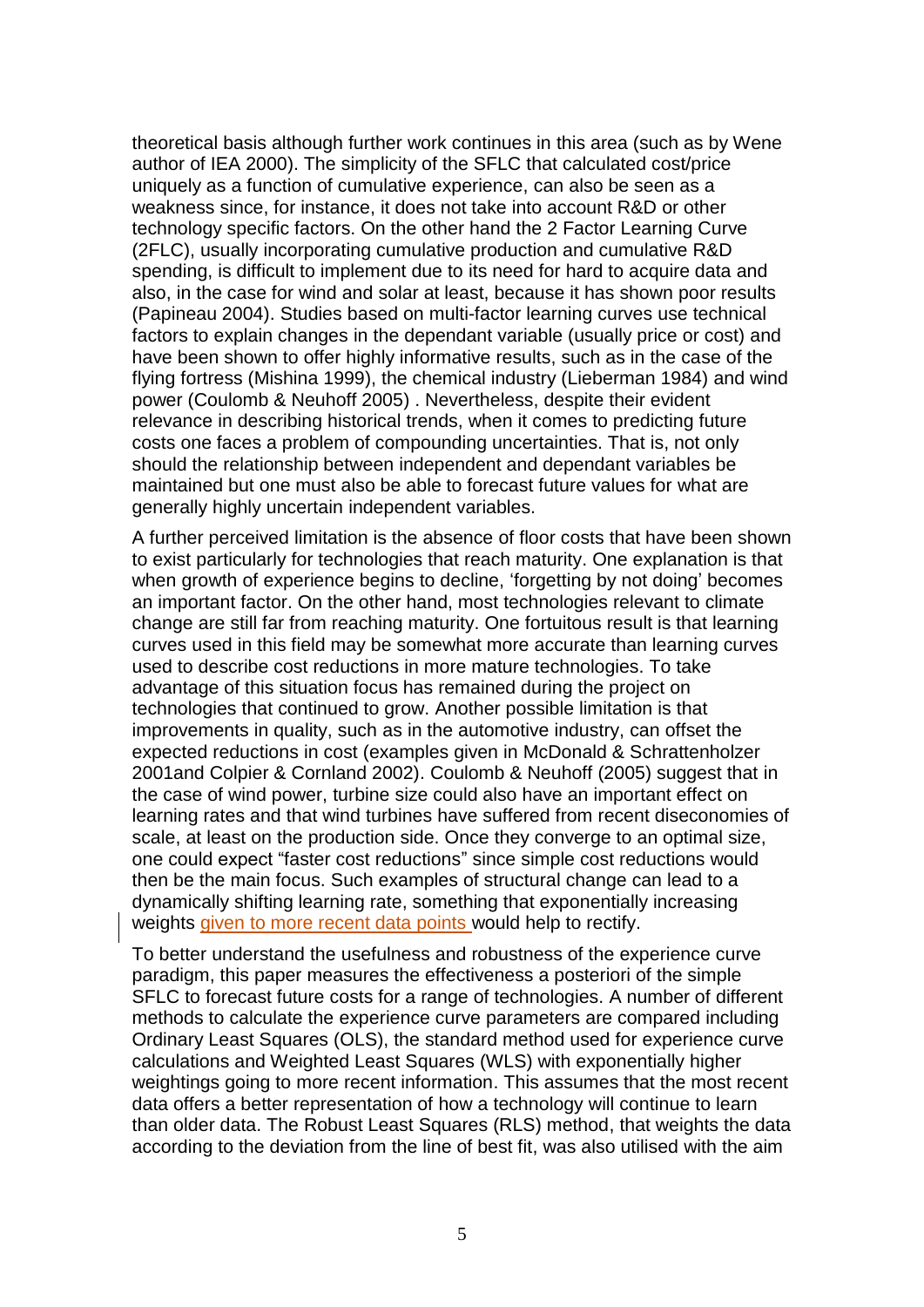theoretical basis although further work continues in this area (such as by Wene author of IEA 2000). The simplicity of the SFLC that calculated cost/price uniquely as a function of cumulative experience, can also be seen as a weakness since, for instance, it does not take into account R&D or other technology specific factors. On the other hand the 2 Factor Learning Curve (2FLC), usually incorporating cumulative production and cumulative R&D spending, is difficult to implement due to its need for hard to acquire data and also, in the case for wind and solar at least, because it has shown poor results (Papineau 2004). Studies based on multi-factor learning curves use technical factors to explain changes in the dependant variable (usually price or cost) and have been shown to offer highly informative results, such as in the case of the flying fortress (Mishina 1999), the chemical industry (Lieberman 1984) and wind power (Coulomb & Neuhoff 2005) . Nevertheless, despite their evident relevance in describing historical trends, when it comes to predicting future costs one faces a problem of compounding uncertainties. That is, not only should the relationship between independent and dependant variables be maintained but one must also be able to forecast future values for what are generally highly uncertain independent variables.

A further perceived limitation is the absence of floor costs that have been shown to exist particularly for technologies that reach maturity. One explanation is that when growth of experience begins to decline, 'forgetting by not doing' becomes an important factor. On the other hand, most technologies relevant to climate change are still far from reaching maturity. One fortuitous result is that learning curves used in this field may be somewhat more accurate than learning curves used to describe cost reductions in more mature technologies. To take advantage of this situation focus has remained during the project on technologies that continued to grow. Another possible limitation is that improvements in quality, such as in the automotive industry, can offset the expected reductions in cost (examples given in McDonald & Schrattenholzer 2001and Colpier & Cornland 2002). Coulomb & Neuhoff (2005) suggest that in the case of wind power, turbine size could also have an important effect on learning rates and that wind turbines have suffered from recent diseconomies of scale, at least on the production side. Once they converge to an optimal size, one could expect "faster cost reductions" since simple cost reductions would then be the main focus. Such examples of structural change can lead to a dynamically shifting learning rate, something that exponentially increasing weights given to more recent data points would help to rectify.

To better understand the usefulness and robustness of the experience curve paradigm, this paper measures the effectiveness a posteriori of the simple SFLC to forecast future costs for a range of technologies. A number of different methods to calculate the experience curve parameters are compared including Ordinary Least Squares (OLS), the standard method used for experience curve calculations and Weighted Least Squares (WLS) with exponentially higher weightings going to more recent information. This assumes that the most recent data offers a better representation of how a technology will continue to learn than older data. The Robust Least Squares (RLS) method, that weights the data according to the deviation from the line of best fit, was also utilised with the aim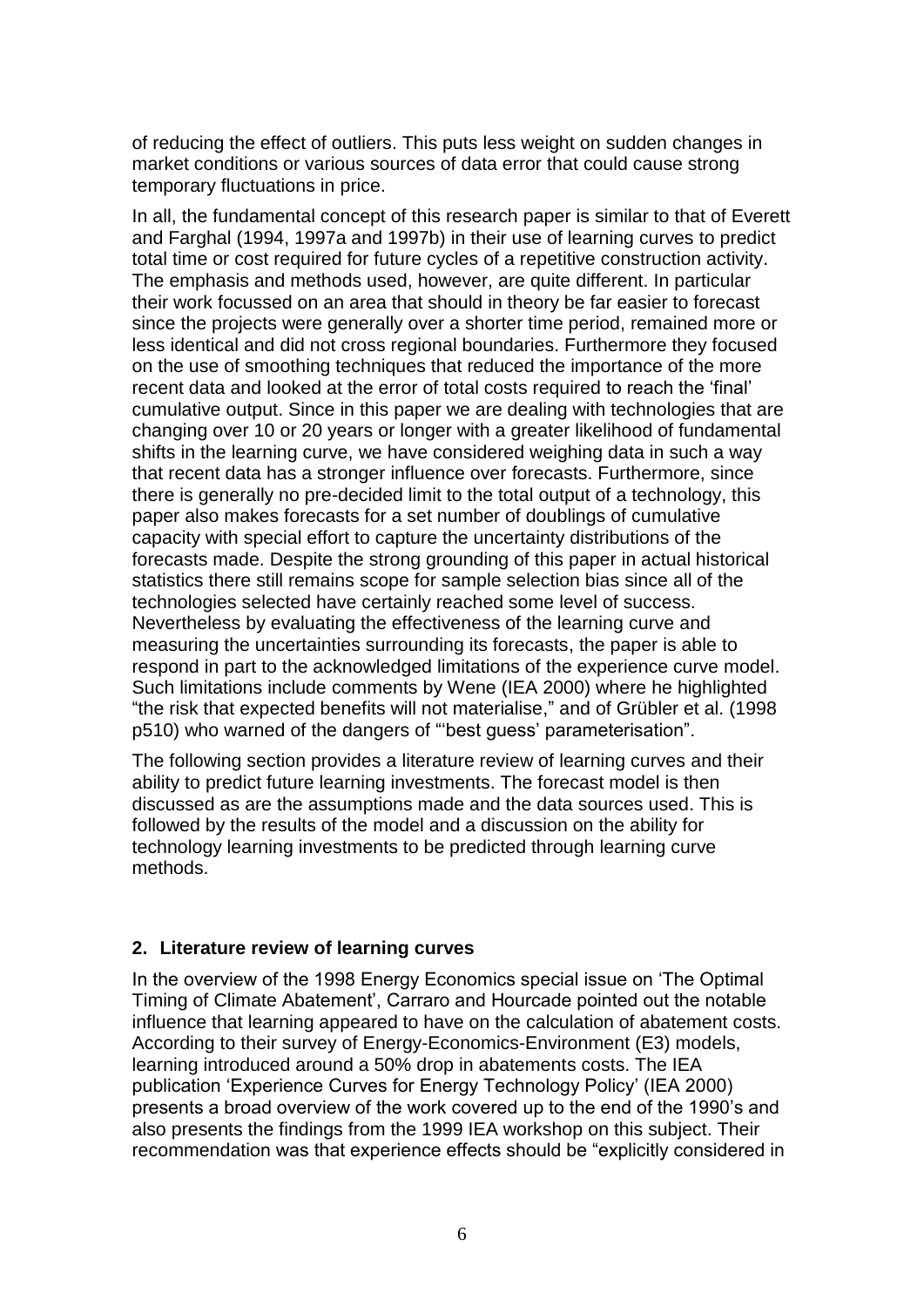of reducing the effect of outliers. This puts less weight on sudden changes in market conditions or various sources of data error that could cause strong temporary fluctuations in price.

In all, the fundamental concept of this research paper is similar to that of Everett and Farghal (1994, 1997a and 1997b) in their use of learning curves to predict total time or cost required for future cycles of a repetitive construction activity. The emphasis and methods used, however, are quite different. In particular their work focussed on an area that should in theory be far easier to forecast since the projects were generally over a shorter time period, remained more or less identical and did not cross regional boundaries. Furthermore they focused on the use of smoothing techniques that reduced the importance of the more recent data and looked at the error of total costs required to reach the "final" cumulative output. Since in this paper we are dealing with technologies that are changing over 10 or 20 years or longer with a greater likelihood of fundamental shifts in the learning curve, we have considered weighing data in such a way that recent data has a stronger influence over forecasts. Furthermore, since there is generally no pre-decided limit to the total output of a technology, this paper also makes forecasts for a set number of doublings of cumulative capacity with special effort to capture the uncertainty distributions of the forecasts made. Despite the strong grounding of this paper in actual historical statistics there still remains scope for sample selection bias since all of the technologies selected have certainly reached some level of success. Nevertheless by evaluating the effectiveness of the learning curve and measuring the uncertainties surrounding its forecasts, the paper is able to respond in part to the acknowledged limitations of the experience curve model. Such limitations include comments by Wene (IEA 2000) where he highlighted "the risk that expected benefits will not materialise," and of Grübler et al. (1998 p510) who warned of the dangers of ""best guess" parameterisation".

The following section provides a literature review of learning curves and their ability to predict future learning investments. The forecast model is then discussed as are the assumptions made and the data sources used. This is followed by the results of the model and a discussion on the ability for technology learning investments to be predicted through learning curve methods.

#### **2. Literature review of learning curves**

In the overview of the 1998 Energy Economics special issue on "The Optimal Timing of Climate Abatement", Carraro and Hourcade pointed out the notable influence that learning appeared to have on the calculation of abatement costs. According to their survey of Energy-Economics-Environment (E3) models, learning introduced around a 50% drop in abatements costs. The IEA publication "Experience Curves for Energy Technology Policy" (IEA 2000) presents a broad overview of the work covered up to the end of the 1990"s and also presents the findings from the 1999 IEA workshop on this subject. Their recommendation was that experience effects should be "explicitly considered in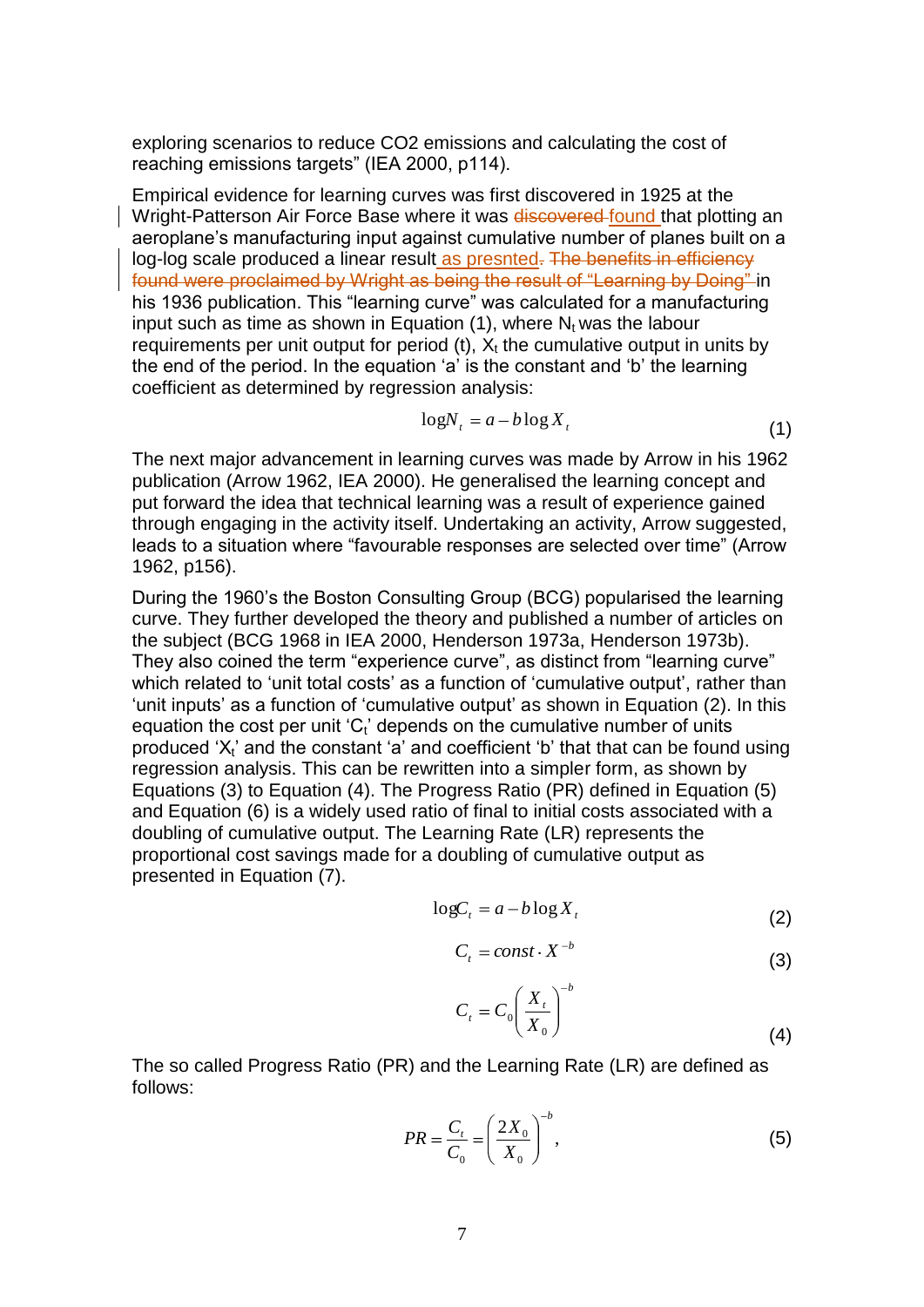exploring scenarios to reduce CO2 emissions and calculating the cost of reaching emissions targets" (IEA 2000, p114).

Empirical evidence for learning curves was first discovered in 1925 at the Wright-Patterson Air Force Base where it was discovered found that plotting an aeroplane's manufacturing input against cumulative number of planes built on a log-log scale produced a linear result as presnted. The benefits in efficiency found were proclaimed by Wright as being the result of "Learning by Doing" in his 1936 publication. This "learning curve" was calculated for a manufacturing input such as time as shown in Equation  $(1)$ , where  $N_t$  was the labour requirements per unit output for period (t),  $X_t$  the cumulative output in units by the end of the period. In the equation "a" is the constant and "b" the learning coefficient as determined by regression analysis:

$$
\log N_t = a - b \log X_t \tag{1}
$$

The next major advancement in learning curves was made by Arrow in his 1962 publication (Arrow 1962, IEA 2000). He generalised the learning concept and put forward the idea that technical learning was a result of experience gained through engaging in the activity itself. Undertaking an activity, Arrow suggested, leads to a situation where "favourable responses are selected over time" (Arrow 1962, p156).

During the 1960"s the Boston Consulting Group (BCG) popularised the learning curve. They further developed the theory and published a number of articles on the subject (BCG 1968 in IEA 2000, Henderson 1973a, Henderson 1973b). They also coined the term "experience curve", as distinct from "learning curve" which related to 'unit total costs' as a function of 'cumulative output', rather than 'unit inputs' as a function of 'cumulative output' as shown in Equation (2). In this equation the cost per unit ' $C_t$ ' depends on the cumulative number of units produced  $X_t$  and the constant 'a' and coefficient 'b' that that can be found using regression analysis. This can be rewritten into a simpler form, as shown by Equations (3) to Equation (4). The Progress Ratio (PR) defined in Equation (5) and Equation (6) is a widely used ratio of final to initial costs associated with a doubling of cumulative output. The Learning Rate (LR) represents the proportional cost savings made for a doubling of cumulative output as presented in Equation (7).

$$
\log C_t = a - b \log X_t \tag{2}
$$

$$
C_t = const \cdot X^{-b} \tag{3}
$$

$$
C_t = C_0 \left(\frac{X_t}{X_0}\right)^{-b} \tag{4}
$$

The so called Progress Ratio (PR) and the Learning Rate (LR) are defined as follows:

$$
PR = \frac{C_t}{C_0} = \left(\frac{2X_0}{X_0}\right)^{-b},
$$
\n(5)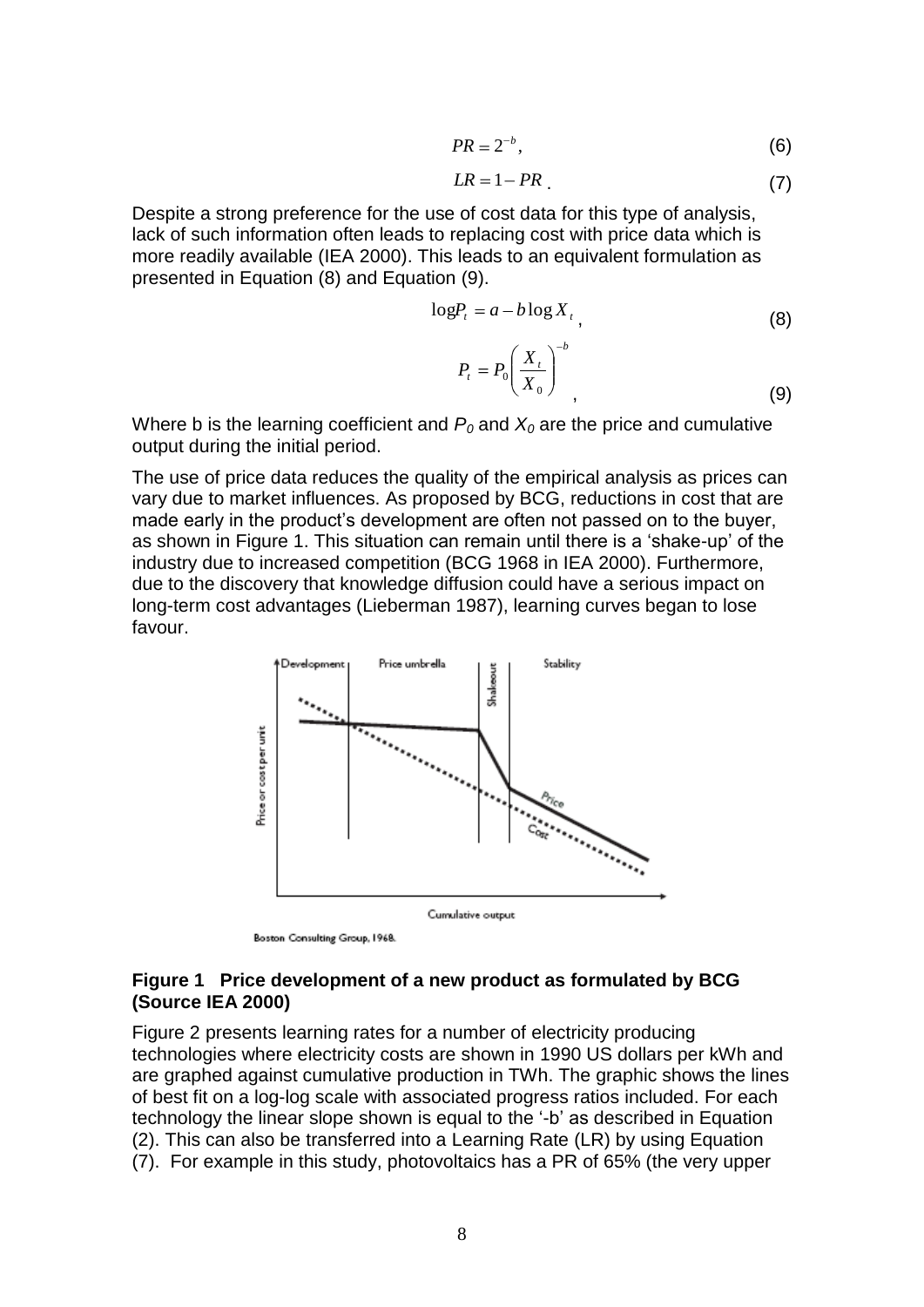$$
PR = 2^{-b},\tag{6}
$$

$$
LR = 1 - PR \tag{7}
$$

Despite a strong preference for the use of cost data for this type of analysis, lack of such information often leads to replacing cost with price data which is more readily available (IEA 2000). This leads to an equivalent formulation as presented in Equation (8) and Equation (9).

$$
\log P_t = a - b \log X_t \tag{8}
$$

$$
P_t = P_0 \left(\frac{X_t}{X_0}\right)^{-b},\tag{9}
$$

Where b is the learning coefficient and  $P_0$  and  $X_0$  are the price and cumulative output during the initial period.

The use of price data reduces the quality of the empirical analysis as prices can vary due to market influences. As proposed by BCG, reductions in cost that are made early in the product"s development are often not passed on to the buyer, as shown in Figure 1. This situation can remain until there is a "shake-up" of the industry due to increased competition (BCG 1968 in IEA 2000). Furthermore, due to the discovery that knowledge diffusion could have a serious impact on long-term cost advantages (Lieberman 1987), learning curves began to lose favour.



Boston Consulting Group, 1968.

#### **Figure 1 Price development of a new product as formulated by BCG (Source IEA 2000)**

Figure 2 presents learning rates for a number of electricity producing technologies where electricity costs are shown in 1990 US dollars per kWh and are graphed against cumulative production in TWh. The graphic shows the lines of best fit on a log-log scale with associated progress ratios included. For each technology the linear slope shown is equal to the "-b" as described in Equation (2). This can also be transferred into a Learning Rate (LR) by using Equation (7). For example in this study, photovoltaics has a PR of 65% (the very upper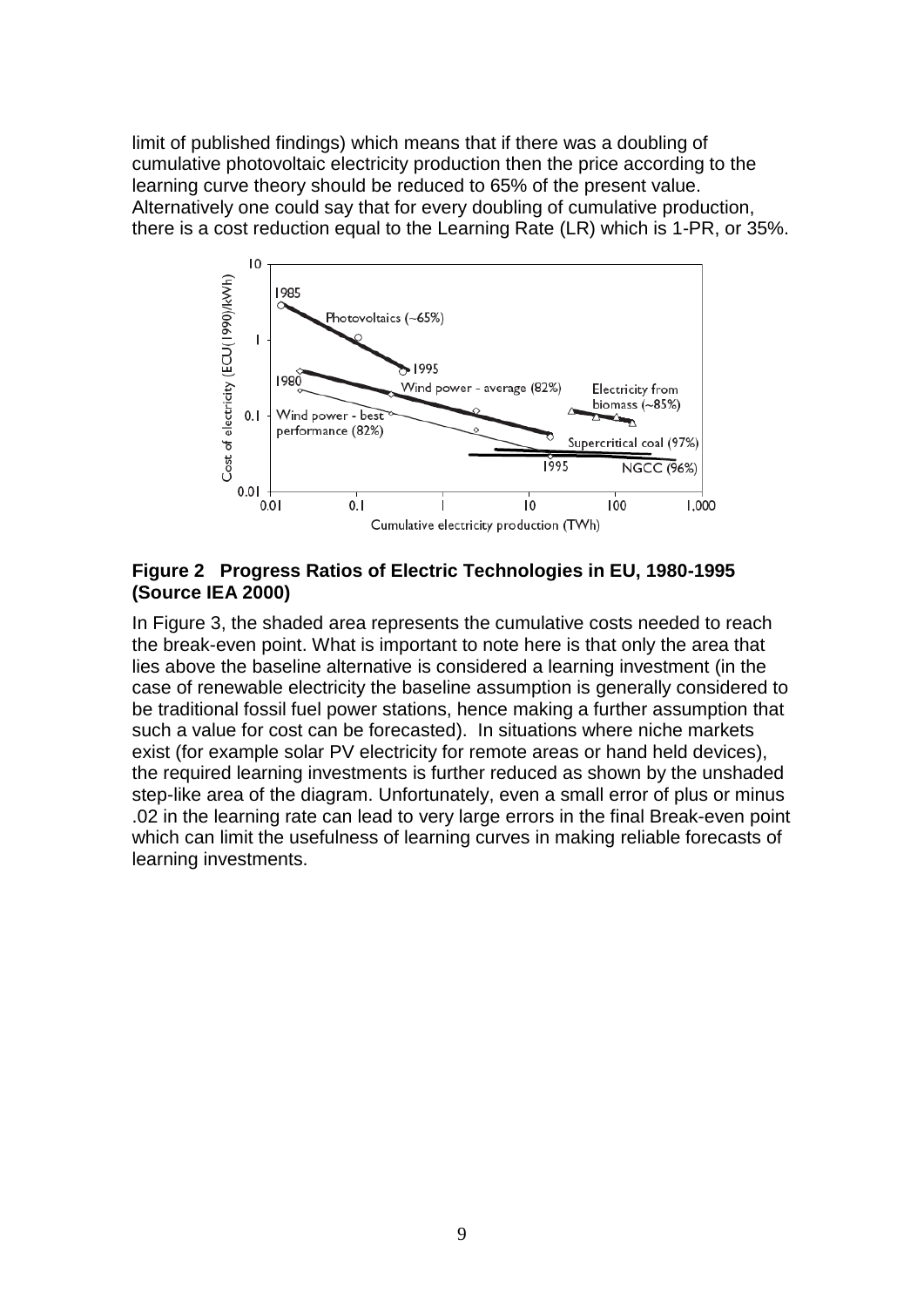limit of published findings) which means that if there was a doubling of cumulative photovoltaic electricity production then the price according to the learning curve theory should be reduced to 65% of the present value. Alternatively one could say that for every doubling of cumulative production, there is a cost reduction equal to the Learning Rate (LR) which is 1-PR, or 35%.



#### **Figure 2 Progress Ratios of Electric Technologies in EU, 1980-1995 (Source IEA 2000)**

In Figure 3, the shaded area represents the cumulative costs needed to reach the break-even point. What is important to note here is that only the area that lies above the baseline alternative is considered a learning investment (in the case of renewable electricity the baseline assumption is generally considered to be traditional fossil fuel power stations, hence making a further assumption that such a value for cost can be forecasted). In situations where niche markets exist (for example solar PV electricity for remote areas or hand held devices), the required learning investments is further reduced as shown by the unshaded step-like area of the diagram. Unfortunately, even a small error of plus or minus .02 in the learning rate can lead to very large errors in the final Break-even point which can limit the usefulness of learning curves in making reliable forecasts of learning investments.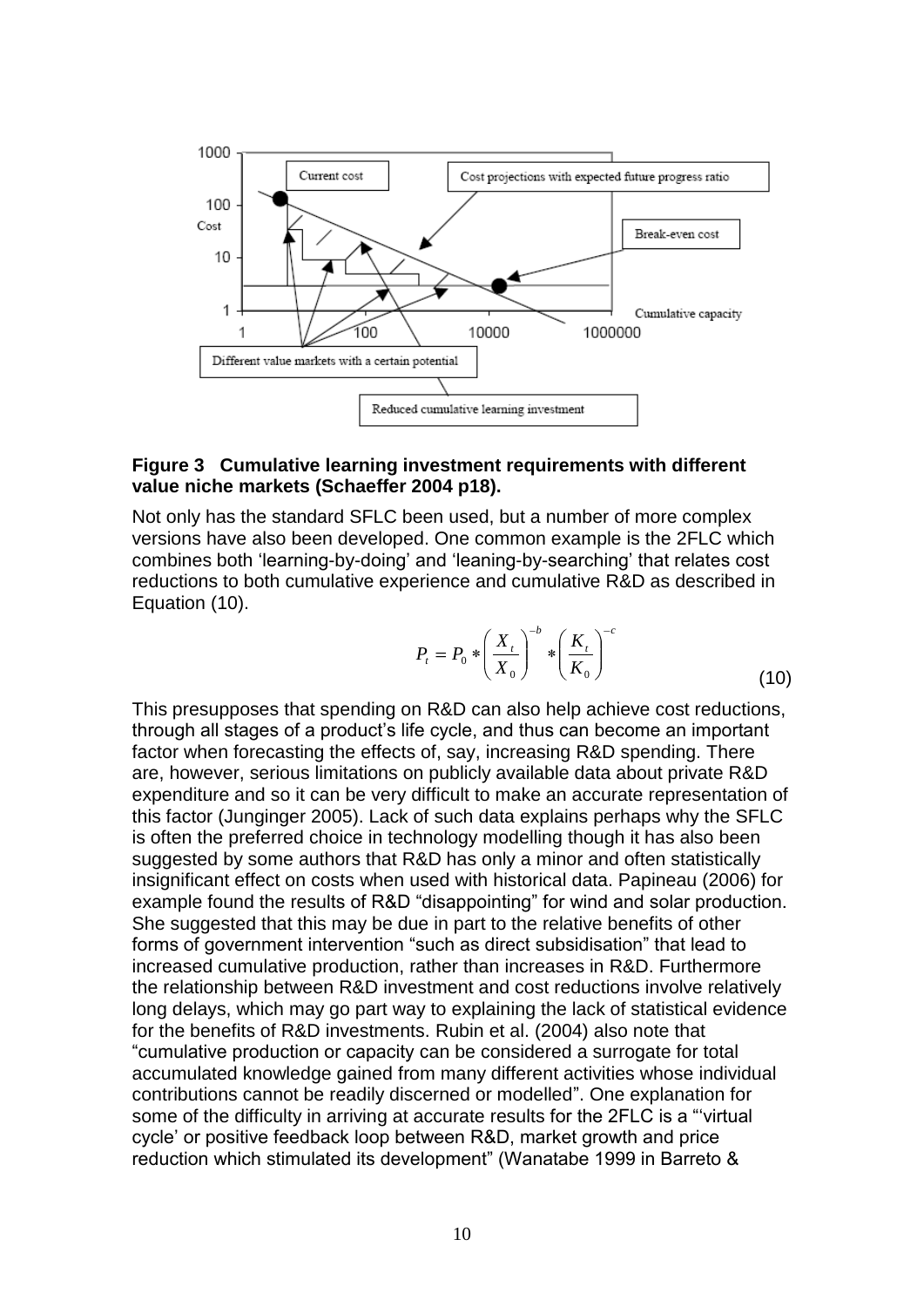

#### **Figure 3 Cumulative learning investment requirements with different value niche markets (Schaeffer 2004 p18).**

Not only has the standard SFLC been used, but a number of more complex versions have also been developed. One common example is the 2FLC which combines both "learning-by-doing" and "leaning-by-searching" that relates cost reductions to both cumulative experience and cumulative R&D as described in Equation (10).

$$
P_{t} = P_{0} * \left(\frac{X_{t}}{X_{0}}\right)^{-b} * \left(\frac{K_{t}}{K_{0}}\right)^{-c}
$$
\n(10)

This presupposes that spending on R&D can also help achieve cost reductions, through all stages of a product"s life cycle, and thus can become an important factor when forecasting the effects of, say, increasing R&D spending. There are, however, serious limitations on publicly available data about private R&D expenditure and so it can be very difficult to make an accurate representation of this factor (Junginger 2005). Lack of such data explains perhaps why the SFLC is often the preferred choice in technology modelling though it has also been suggested by some authors that R&D has only a minor and often statistically insignificant effect on costs when used with historical data. Papineau (2006) for example found the results of R&D "disappointing" for wind and solar production. She suggested that this may be due in part to the relative benefits of other forms of government intervention "such as direct subsidisation" that lead to increased cumulative production, rather than increases in R&D. Furthermore the relationship between R&D investment and cost reductions involve relatively long delays, which may go part way to explaining the lack of statistical evidence for the benefits of R&D investments. Rubin et al. (2004) also note that "cumulative production or capacity can be considered a surrogate for total accumulated knowledge gained from many different activities whose individual contributions cannot be readily discerned or modelled". One explanation for some of the difficulty in arriving at accurate results for the 2FLC is a ""virtual cycle" or positive feedback loop between R&D, market growth and price reduction which stimulated its development" (Wanatabe 1999 in Barreto &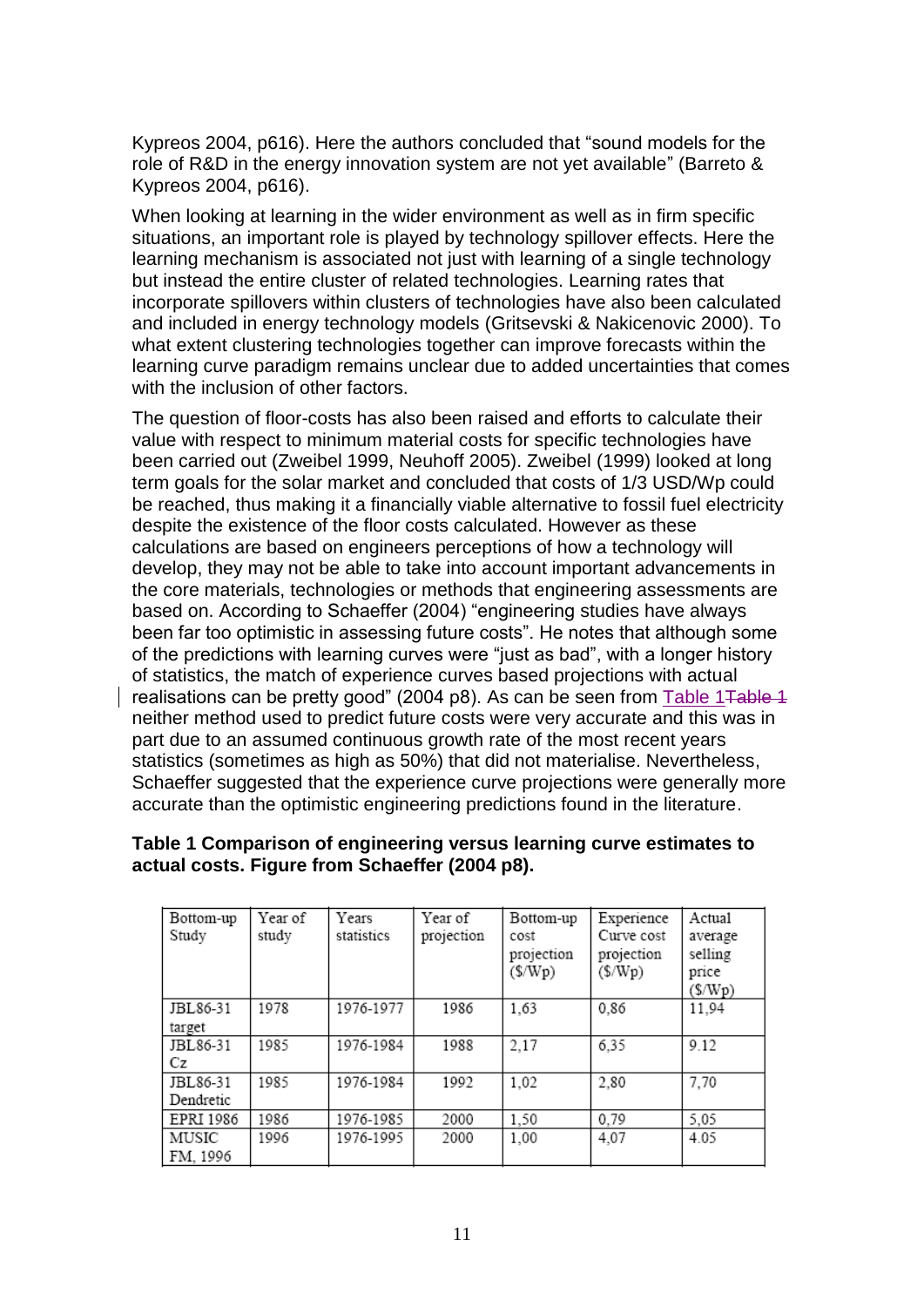Kypreos 2004, p616). Here the authors concluded that "sound models for the role of R&D in the energy innovation system are not yet available" (Barreto & Kypreos 2004, p616).

When looking at learning in the wider environment as well as in firm specific situations, an important role is played by technology spillover effects. Here the learning mechanism is associated not just with learning of a single technology but instead the entire cluster of related technologies. Learning rates that incorporate spillovers within clusters of technologies have also been calculated and included in energy technology models (Gritsevski & Nakicenovic 2000). To what extent clustering technologies together can improve forecasts within the learning curve paradigm remains unclear due to added uncertainties that comes with the inclusion of other factors.

The question of floor-costs has also been raised and efforts to calculate their value with respect to minimum material costs for specific technologies have been carried out (Zweibel 1999, Neuhoff 2005). Zweibel (1999) looked at long term goals for the solar market and concluded that costs of 1/3 USD/Wp could be reached, thus making it a financially viable alternative to fossil fuel electricity despite the existence of the floor costs calculated. However as these calculations are based on engineers perceptions of how a technology will develop, they may not be able to take into account important advancements in the core materials, technologies or methods that engineering assessments are based on. According to Schaeffer (2004) "engineering studies have always been far too optimistic in assessing future costs". He notes that although some of the predictions with learning curves were "just as bad", with a longer history of statistics, the match of experience curves based projections with actual realisations can be pretty good" (2004 p8). As can be seen from Table 1 Table 1 neither method used to predict future costs were very accurate and this was in part due to an assumed continuous growth rate of the most recent years statistics (sometimes as high as 50%) that did not materialise. Nevertheless, Schaeffer suggested that the experience curve projections were generally more accurate than the optimistic engineering predictions found in the literature.

| Bottom-up<br>Study    | Year of<br>study | Years<br>statistics | Year of<br>projection | Bottom-up<br>cost<br>projection<br>$(\frac{C}{2}$ | Experience<br>Curve cost<br>projection<br>(\$/Wp) | Actual<br>average<br>selling<br>price<br>$(\frac{C}{2}$ |
|-----------------------|------------------|---------------------|-----------------------|---------------------------------------------------|---------------------------------------------------|---------------------------------------------------------|
| JBL86-31<br>target    | 1978             | 1976-1977           | 1986                  | 1,63                                              | 0.86                                              | 11,94                                                   |
| JBL86-31<br>Сz        | 1985             | 1976-1984           | 1988                  | 2,17                                              | 6,35                                              | 9.12                                                    |
| JBL86-31<br>Dendretic | 1985             | 1976-1984           | 1992                  | 1,02                                              | 2,80                                              | 7,70                                                    |
| EPRI 1986             | 1986             | 1976-1985           | 2000                  | 1,50                                              | 0,79                                              | 5,05                                                    |
| MUSIC<br>FM, 1996     | 1996             | 1976-1995           | 2000                  | 1,00                                              | 4,07                                              | 4.05                                                    |

#### <span id="page-10-0"></span>**Table 1 Comparison of engineering versus learning curve estimates to actual costs. Figure from Schaeffer (2004 p8).**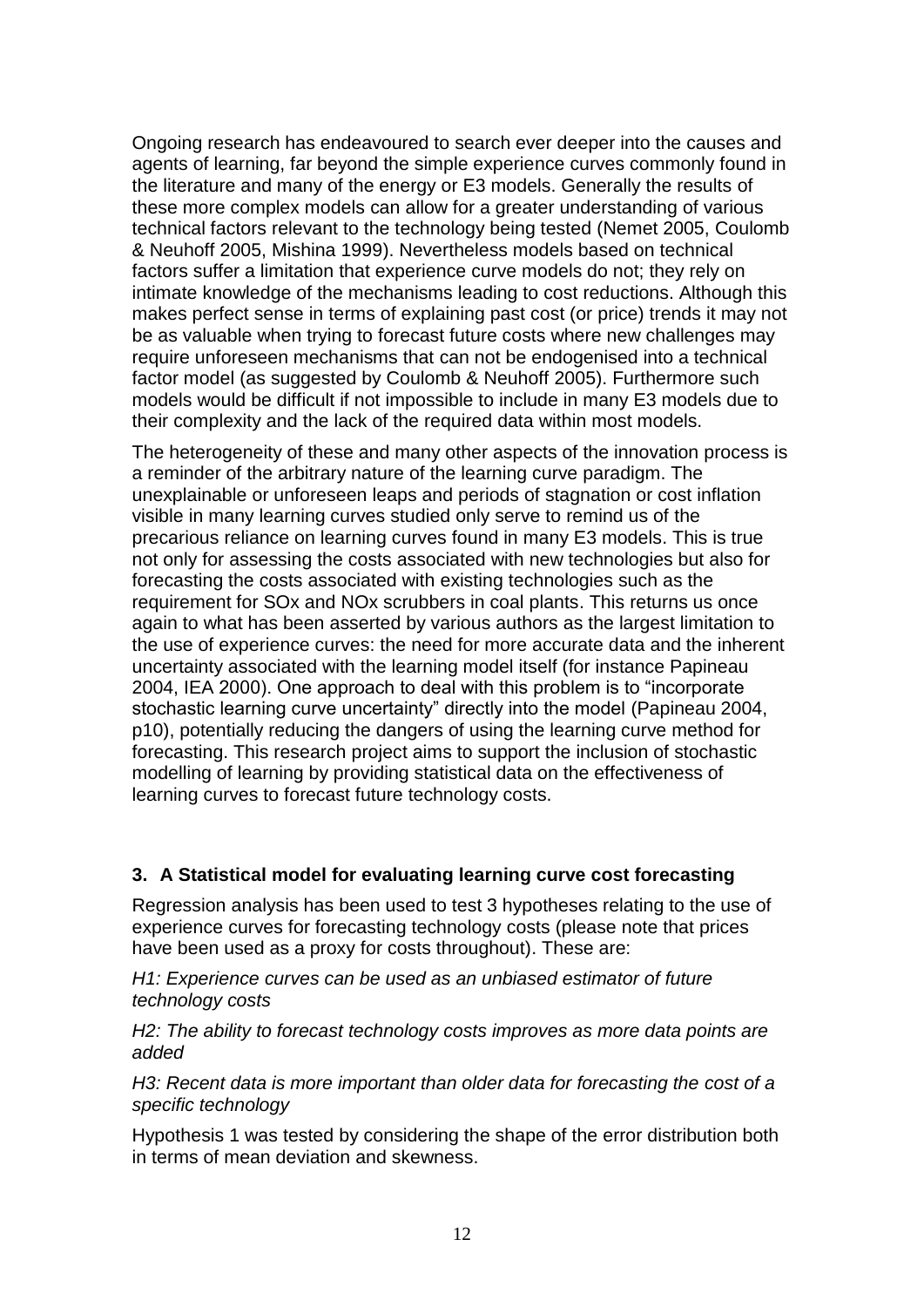Ongoing research has endeavoured to search ever deeper into the causes and agents of learning, far beyond the simple experience curves commonly found in the literature and many of the energy or E3 models. Generally the results of these more complex models can allow for a greater understanding of various technical factors relevant to the technology being tested (Nemet 2005, Coulomb & Neuhoff 2005, Mishina 1999). Nevertheless models based on technical factors suffer a limitation that experience curve models do not; they rely on intimate knowledge of the mechanisms leading to cost reductions. Although this makes perfect sense in terms of explaining past cost (or price) trends it may not be as valuable when trying to forecast future costs where new challenges may require unforeseen mechanisms that can not be endogenised into a technical factor model (as suggested by Coulomb & Neuhoff 2005). Furthermore such models would be difficult if not impossible to include in many E3 models due to their complexity and the lack of the required data within most models.

The heterogeneity of these and many other aspects of the innovation process is a reminder of the arbitrary nature of the learning curve paradigm. The unexplainable or unforeseen leaps and periods of stagnation or cost inflation visible in many learning curves studied only serve to remind us of the precarious reliance on learning curves found in many E3 models. This is true not only for assessing the costs associated with new technologies but also for forecasting the costs associated with existing technologies such as the requirement for SOx and NOx scrubbers in coal plants. This returns us once again to what has been asserted by various authors as the largest limitation to the use of experience curves: the need for more accurate data and the inherent uncertainty associated with the learning model itself (for instance Papineau 2004, IEA 2000). One approach to deal with this problem is to "incorporate stochastic learning curve uncertainty" directly into the model (Papineau 2004, p10), potentially reducing the dangers of using the learning curve method for forecasting. This research project aims to support the inclusion of stochastic modelling of learning by providing statistical data on the effectiveness of learning curves to forecast future technology costs.

# **3. A Statistical model for evaluating learning curve cost forecasting**

Regression analysis has been used to test 3 hypotheses relating to the use of experience curves for forecasting technology costs (please note that prices have been used as a proxy for costs throughout). These are:

*H1: Experience curves can be used as an unbiased estimator of future technology costs*

*H2: The ability to forecast technology costs improves as more data points are added*

*H3: Recent data is more important than older data for forecasting the cost of a specific technology*

Hypothesis 1 was tested by considering the shape of the error distribution both in terms of mean deviation and skewness.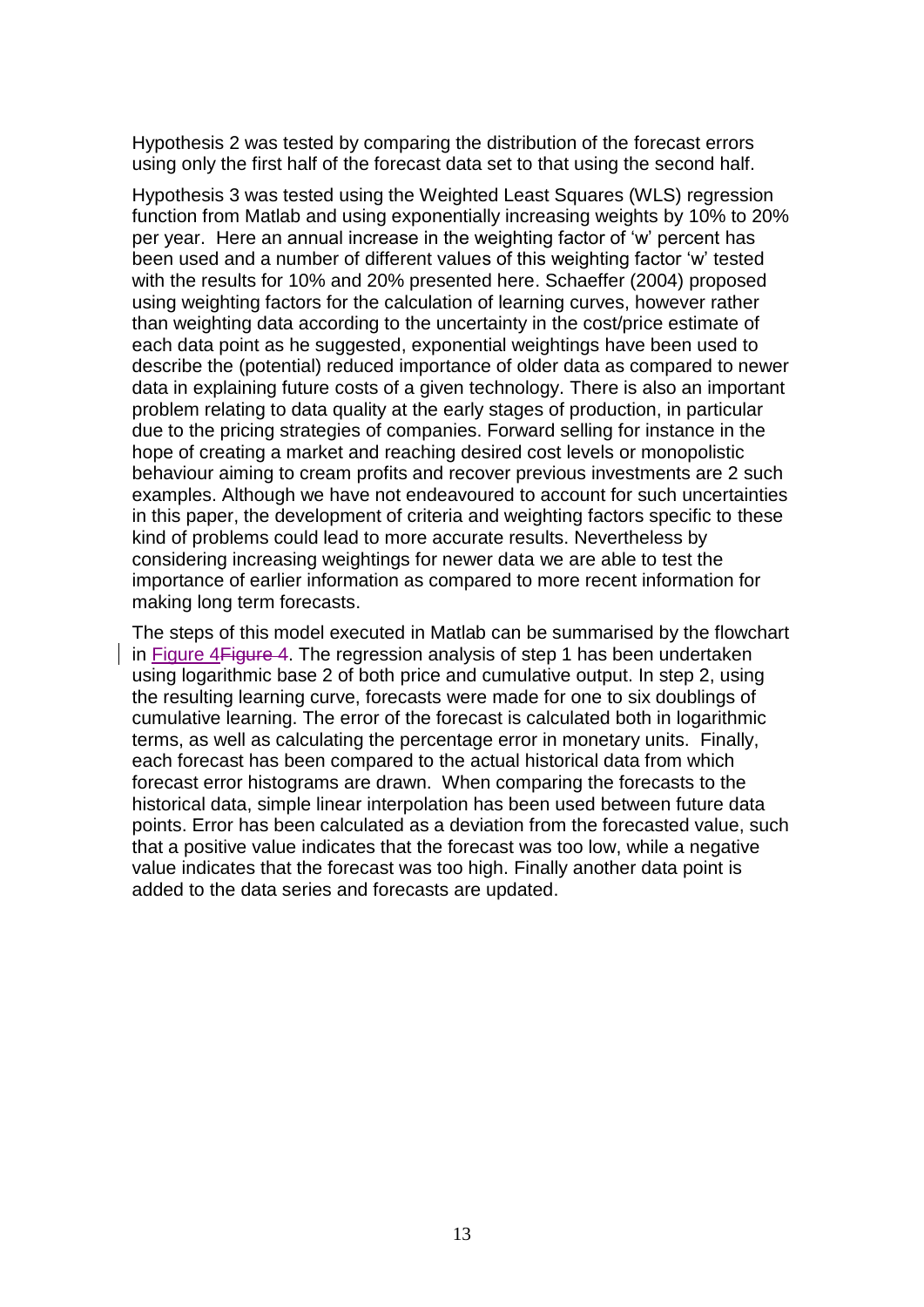Hypothesis 2 was tested by comparing the distribution of the forecast errors using only the first half of the forecast data set to that using the second half.

Hypothesis 3 was tested using the Weighted Least Squares (WLS) regression function from Matlab and using exponentially increasing weights by 10% to 20% per year. Here an annual increase in the weighting factor of "w" percent has been used and a number of different values of this weighting factor 'w' tested with the results for 10% and 20% presented here. Schaeffer (2004) proposed using weighting factors for the calculation of learning curves, however rather than weighting data according to the uncertainty in the cost/price estimate of each data point as he suggested, exponential weightings have been used to describe the (potential) reduced importance of older data as compared to newer data in explaining future costs of a given technology. There is also an important problem relating to data quality at the early stages of production, in particular due to the pricing strategies of companies. Forward selling for instance in the hope of creating a market and reaching desired cost levels or monopolistic behaviour aiming to cream profits and recover previous investments are 2 such examples. Although we have not endeavoured to account for such uncertainties in this paper, the development of criteria and weighting factors specific to these kind of problems could lead to more accurate results. Nevertheless by considering increasing weightings for newer data we are able to test the importance of earlier information as compared to more recent information for making long term forecasts.

The steps of this model executed in Matlab can be summarised by the flowchart in [Figure 4Figure 4.](#page-13-0) The regression analysis of step 1 has been undertaken using logarithmic base 2 of both price and cumulative output. In step 2, using the resulting learning curve, forecasts were made for one to six doublings of cumulative learning. The error of the forecast is calculated both in logarithmic terms, as well as calculating the percentage error in monetary units. Finally, each forecast has been compared to the actual historical data from which forecast error histograms are drawn. When comparing the forecasts to the historical data, simple linear interpolation has been used between future data points. Error has been calculated as a deviation from the forecasted value, such that a positive value indicates that the forecast was too low, while a negative value indicates that the forecast was too high. Finally another data point is added to the data series and forecasts are updated.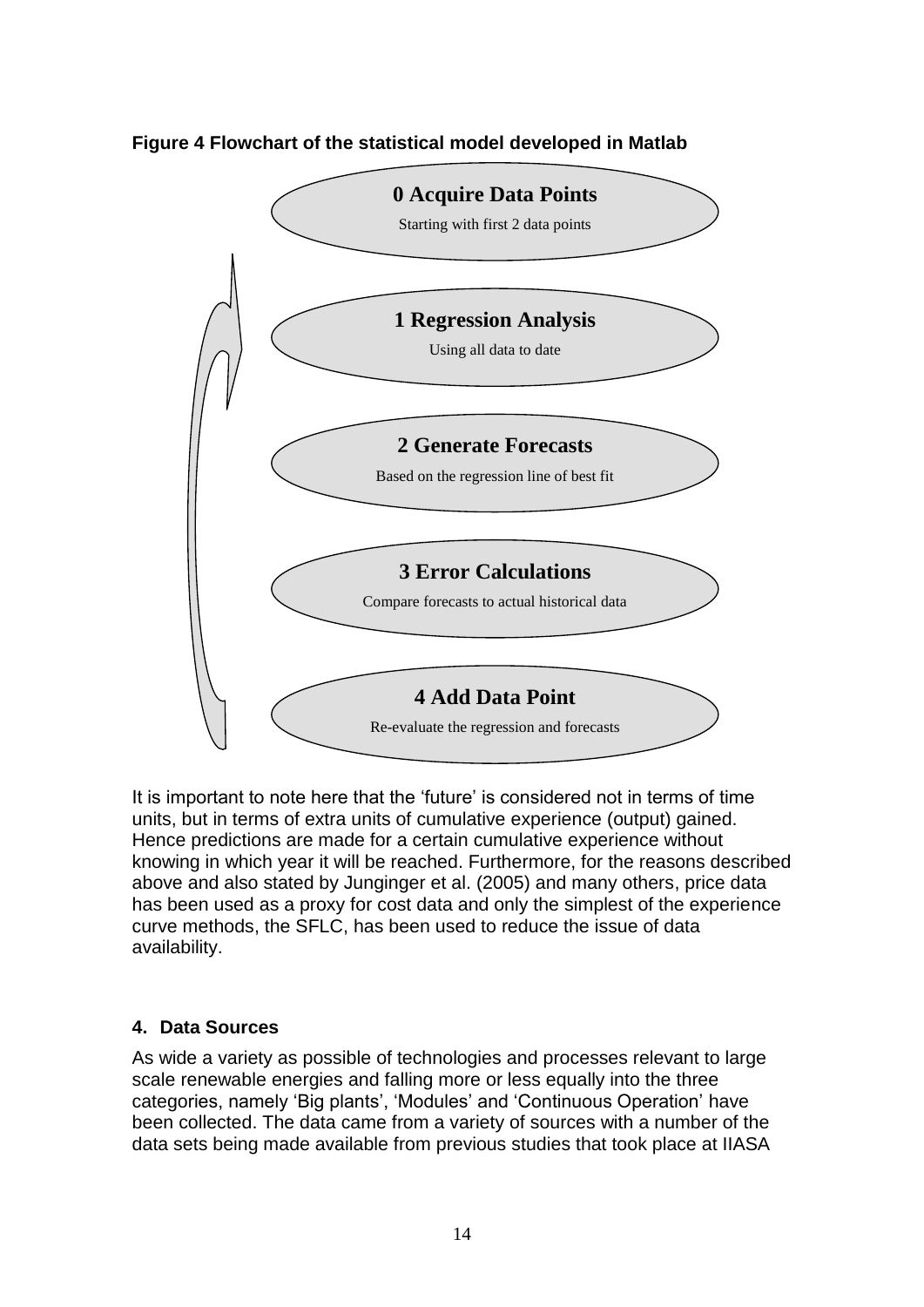

<span id="page-13-0"></span>**Figure 4 Flowchart of the statistical model developed in Matlab**

It is important to note here that the 'future' is considered not in terms of time units, but in terms of extra units of cumulative experience (output) gained. Hence predictions are made for a certain cumulative experience without knowing in which year it will be reached. Furthermore, for the reasons described above and also stated by Junginger et al. (2005) and many others, price data has been used as a proxy for cost data and only the simplest of the experience curve methods, the SFLC, has been used to reduce the issue of data availability.

#### **4. Data Sources**

As wide a variety as possible of technologies and processes relevant to large scale renewable energies and falling more or less equally into the three categories, namely "Big plants", "Modules" and "Continuous Operation" have been collected. The data came from a variety of sources with a number of the data sets being made available from previous studies that took place at IIASA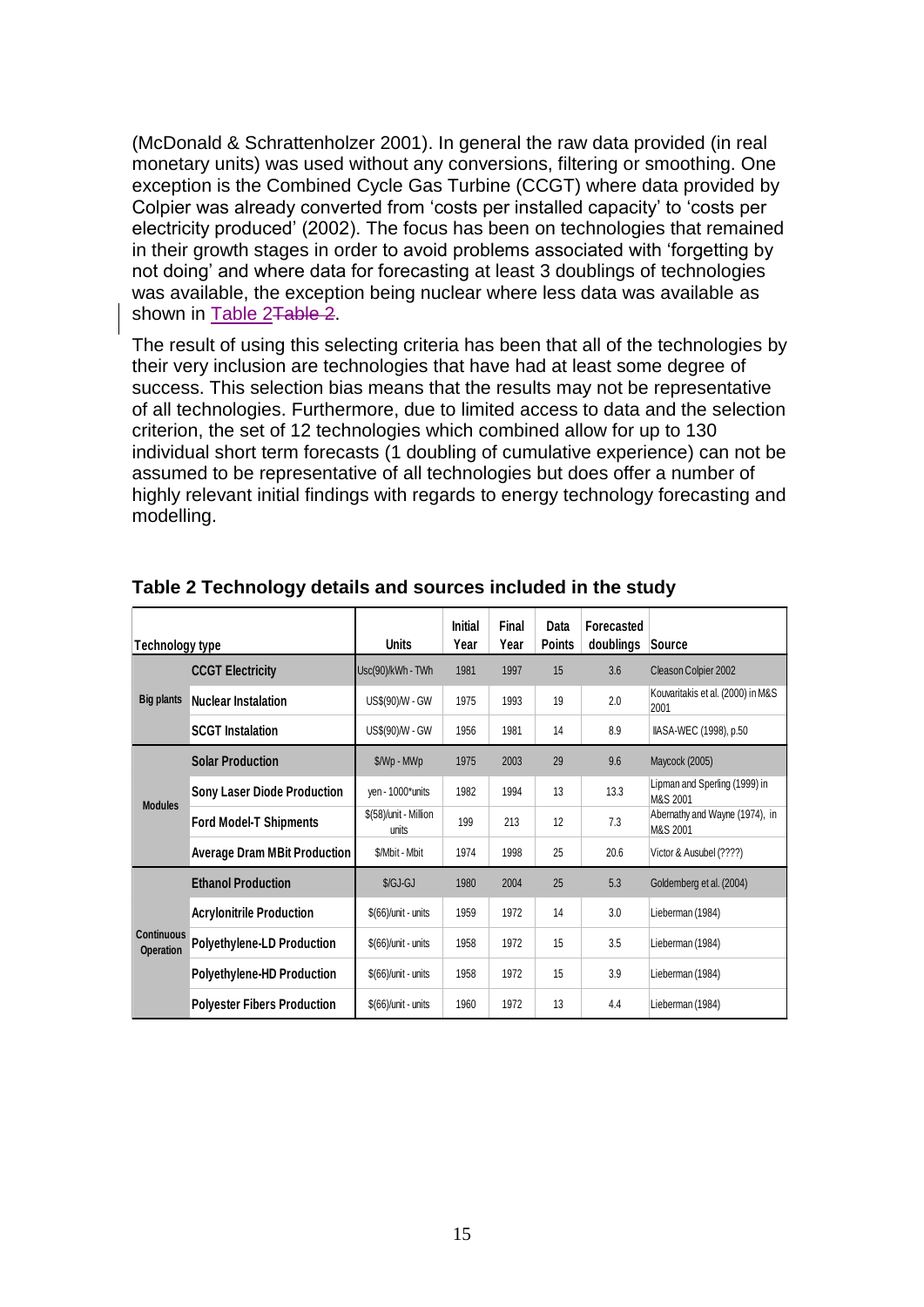(McDonald & Schrattenholzer 2001). In general the raw data provided (in real monetary units) was used without any conversions, filtering or smoothing. One exception is the Combined Cycle Gas Turbine (CCGT) where data provided by Colpier was already converted from "costs per installed capacity" to "costs per electricity produced" (2002). The focus has been on technologies that remained in their growth stages in order to avoid problems associated with "forgetting by not doing" and where data for forecasting at least 3 doublings of technologies was available, the exception being nuclear where less data was available as shown in [Table 2Table 2.](#page-14-0)

The result of using this selecting criteria has been that all of the technologies by their very inclusion are technologies that have had at least some degree of success. This selection bias means that the results may not be representative of all technologies. Furthermore, due to limited access to data and the selection criterion, the set of 12 technologies which combined allow for up to 130 individual short term forecasts (1 doubling of cumulative experience) can not be assumed to be representative of all technologies but does offer a number of highly relevant initial findings with regards to energy technology forecasting and modelling.

| <b>Technology type</b>                |                                     | <b>Units</b>                   | Initial<br>Year | Final<br>Year | Data<br><b>Points</b> | Forecasted<br>doublings | Source                                     |
|---------------------------------------|-------------------------------------|--------------------------------|-----------------|---------------|-----------------------|-------------------------|--------------------------------------------|
|                                       | <b>CCGT Electricity</b>             | Usc(90)/kWh - TWh              | 1981            | 1997          | 15                    | 3.6                     | Cleason Colpier 2002                       |
| <b>Big plants</b>                     | <b>Nuclear Instalation</b>          | US\$(90)/W - GW                | 1975            | 1993          | 19                    | 2.0                     | Kouvaritakis et al. (2000) in M&S<br>2001  |
|                                       | <b>SCGT</b> Instalation             | US\$(90)/W - GW                | 1956            | 1981          | 14                    | 8.9                     | IIASA-WEC (1998), p.50                     |
| <b>Modules</b>                        | <b>Solar Production</b>             | \$/Wp - MWp                    | 1975            | 2003          | 29                    | 9.6                     | Maycock (2005)                             |
|                                       | <b>Sony Laser Diode Production</b>  | yen - 1000*units               | 1982            | 1994          | 13                    | 13.3                    | Lipman and Sperling (1999) in<br>M&S 2001  |
|                                       | <b>Ford Model-T Shipments</b>       | \$(58)/unit - Million<br>units | 199             | 213           | 12                    | 7.3                     | Abernathy and Wayne (1974), in<br>M&S 2001 |
|                                       | <b>Average Dram MBit Production</b> | \$/Mbit - Mbit                 | 1974            | 1998          | 25                    | 20.6                    | Victor & Ausubel (????)                    |
|                                       | <b>Ethanol Production</b>           | \$/GJ-GJ                       | 1980            | 2004          | 25                    | 5.3                     | Goldemberg et al. (2004)                   |
| <b>Continuous</b><br><b>Operation</b> | <b>Acrylonitrile Production</b>     | $$$ $(66)$ /unit - units       | 1959            | 1972          | 14                    | 3.0                     | Lieberman (1984)                           |
|                                       | <b>Polyethylene-LD Production</b>   | $$$ (66)/unit - units          | 1958            | 1972          | 15                    | 3.5                     | Lieberman (1984)                           |
|                                       | <b>Polyethylene-HD Production</b>   | $$$ (66)/unit - units          | 1958            | 1972          | 15                    | 3.9                     | Lieberman (1984)                           |
|                                       | <b>Polyester Fibers Production</b>  | $$(66)/unit - units$           | 1960            | 1972          | 13                    | 4.4                     | Lieberman (1984)                           |

#### <span id="page-14-0"></span>**Table 2 Technology details and sources included in the study**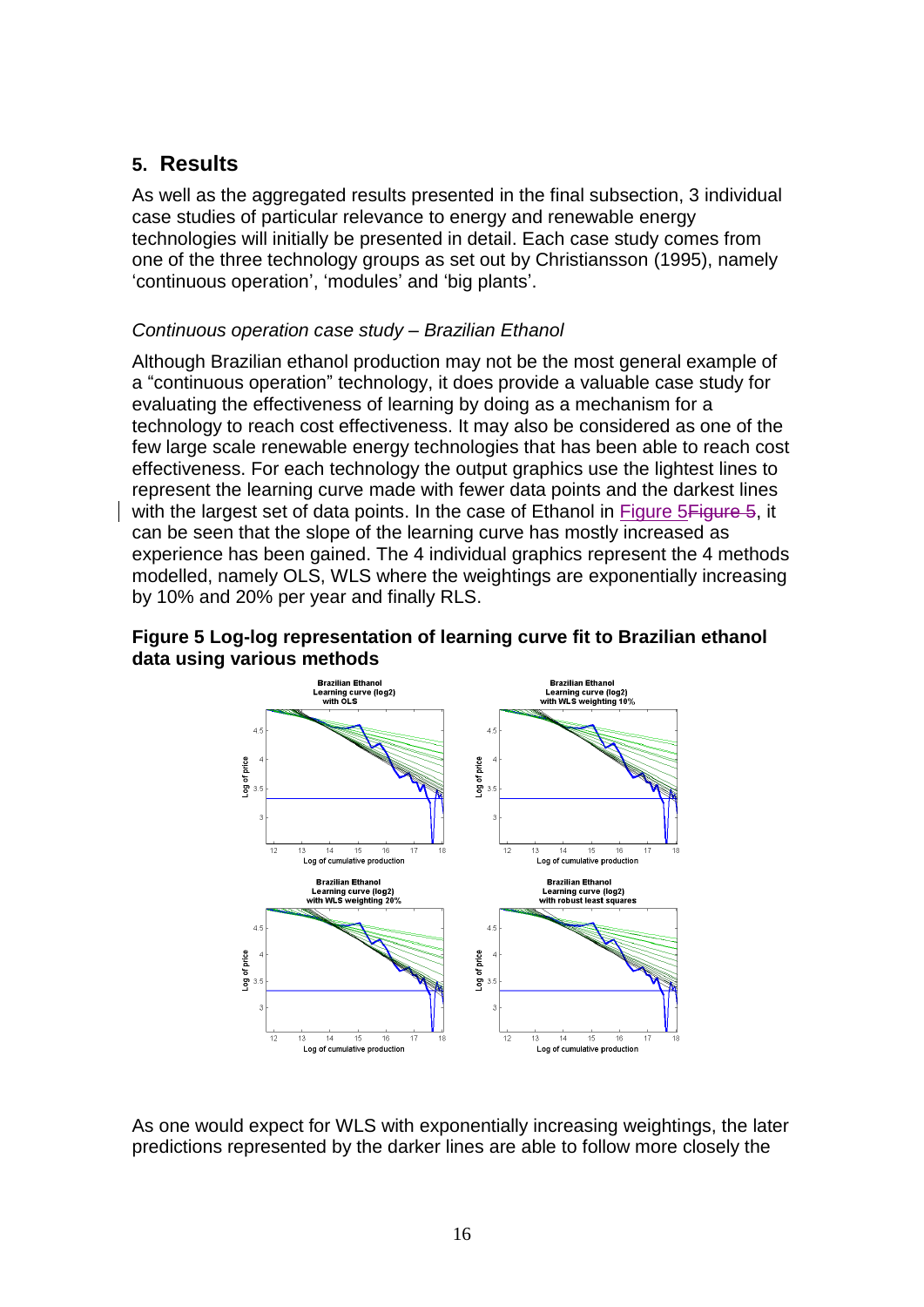# **5. Results**

As well as the aggregated results presented in the final subsection, 3 individual case studies of particular relevance to energy and renewable energy technologies will initially be presented in detail. Each case study comes from one of the three technology groups as set out by Christiansson (1995), namely "continuous operation", "modules" and "big plants".

# *Continuous operation case study – Brazilian Ethanol*

Although Brazilian ethanol production may not be the most general example of a "continuous operation" technology, it does provide a valuable case study for evaluating the effectiveness of learning by doing as a mechanism for a technology to reach cost effectiveness. It may also be considered as one of the few large scale renewable energy technologies that has been able to reach cost effectiveness. For each technology the output graphics use the lightest lines to represent the learning curve made with fewer data points and the darkest lines with the largest set of data points. In the case of Ethanol in Figure 5 Figure 5, it can be seen that the slope of the learning curve has mostly increased as experience has been gained. The 4 individual graphics represent the 4 methods modelled, namely OLS, WLS where the weightings are exponentially increasing by 10% and 20% per year and finally RLS.

## <span id="page-15-0"></span>**Figure 5 Log-log representation of learning curve fit to Brazilian ethanol data using various methods**



As one would expect for WLS with exponentially increasing weightings, the later predictions represented by the darker lines are able to follow more closely the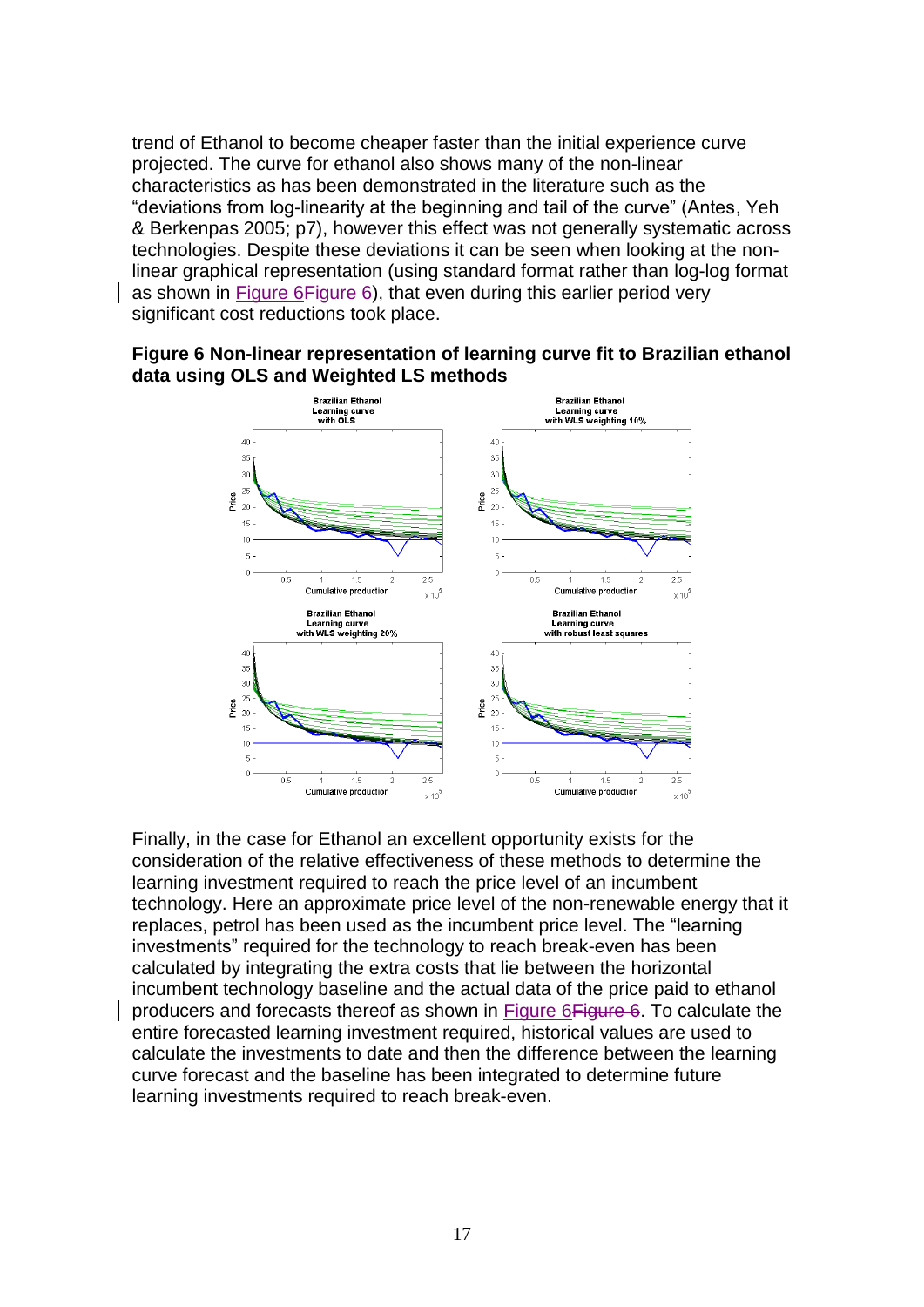trend of Ethanol to become cheaper faster than the initial experience curve projected. The curve for ethanol also shows many of the non-linear characteristics as has been demonstrated in the literature such as the "deviations from log-linearity at the beginning and tail of the curve" (Antes, Yeh & Berkenpas 2005; p7), however this effect was not generally systematic across technologies. Despite these deviations it can be seen when looking at the nonlinear graphical representation (using standard format rather than log-log format as shown in [Figure 6Figure 6\)](#page-16-0), that even during this earlier period very significant cost reductions took place.

<span id="page-16-0"></span>



Finally, in the case for Ethanol an excellent opportunity exists for the consideration of the relative effectiveness of these methods to determine the learning investment required to reach the price level of an incumbent technology. Here an approximate price level of the non-renewable energy that it replaces, petrol has been used as the incumbent price level. The "learning investments" required for the technology to reach break-even has been calculated by integrating the extra costs that lie between the horizontal incumbent technology baseline and the actual data of the price paid to ethanol producers and forecasts thereof as shown in [Figure 6Figure 6.](#page-16-0) To calculate the entire forecasted learning investment required, historical values are used to calculate the investments to date and then the difference between the learning curve forecast and the baseline has been integrated to determine future learning investments required to reach break-even.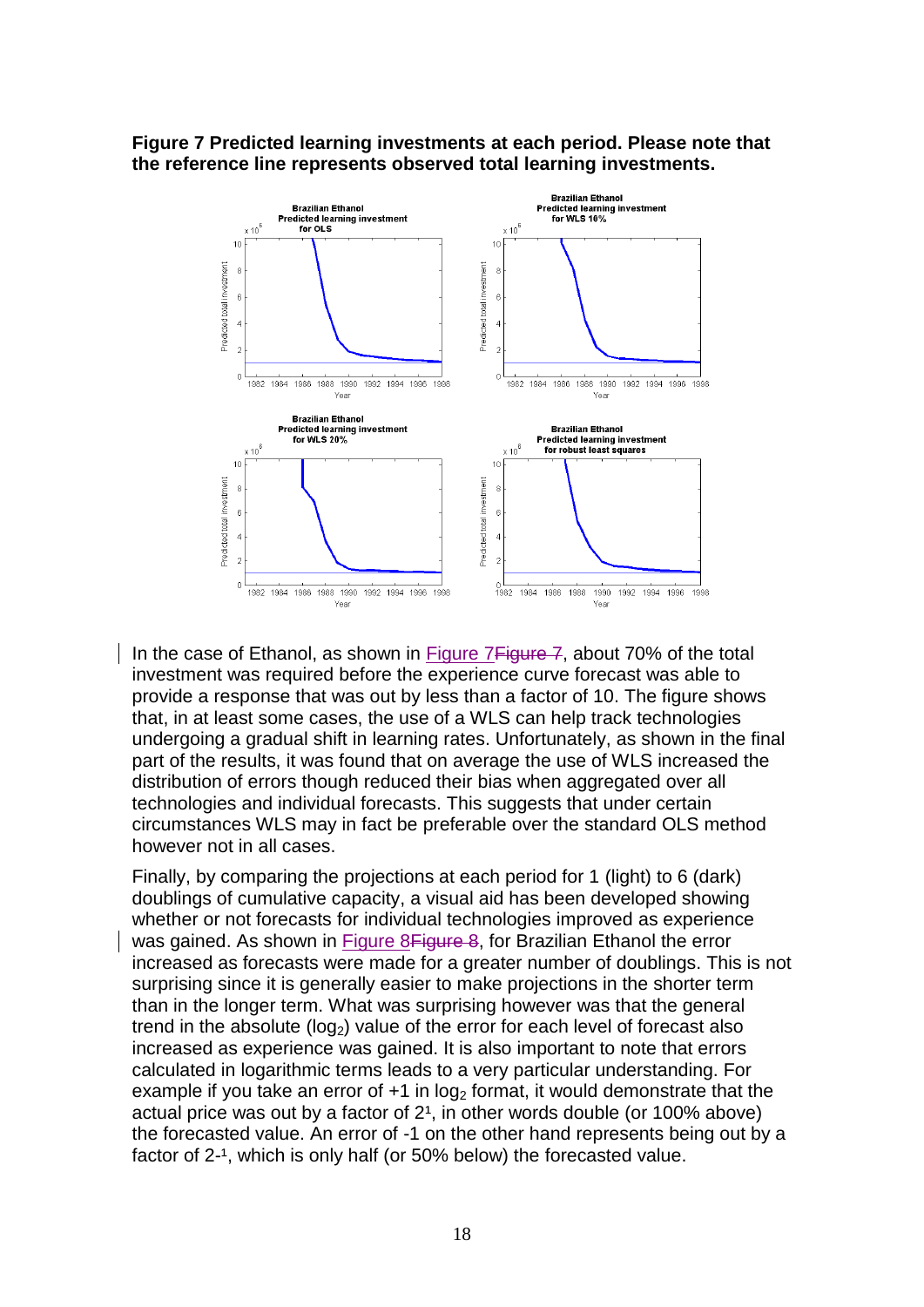#### <span id="page-17-0"></span>**Figure 7 Predicted learning investments at each period. Please note that the reference line represents observed total learning investments.**



In the case of Ethanol, as shown in [Figure 7Figure 7,](#page-17-0) about 70% of the total investment was required before the experience curve forecast was able to provide a response that was out by less than a factor of 10. The figure shows that, in at least some cases, the use of a WLS can help track technologies undergoing a gradual shift in learning rates. Unfortunately, as shown in the final part of the results, it was found that on average the use of WLS increased the distribution of errors though reduced their bias when aggregated over all technologies and individual forecasts. This suggests that under certain circumstances WLS may in fact be preferable over the standard OLS method however not in all cases.

Finally, by comparing the projections at each period for 1 (light) to 6 (dark) doublings of cumulative capacity, a visual aid has been developed showing whether or not forecasts for individual technologies improved as experience was gained. As shown in [Figure 8Figure 8,](#page-18-0) for Brazilian Ethanol the error increased as forecasts were made for a greater number of doublings. This is not surprising since it is generally easier to make projections in the shorter term than in the longer term. What was surprising however was that the general trend in the absolute ( $log<sub>2</sub>$ ) value of the error for each level of forecast also increased as experience was gained. It is also important to note that errors calculated in logarithmic terms leads to a very particular understanding. For example if you take an error of  $+1$  in log<sub>2</sub> format, it would demonstrate that the actual price was out by a factor of  $2<sup>1</sup>$ , in other words double (or 100% above) the forecasted value. An error of -1 on the other hand represents being out by a factor of 2-<sup>1</sup>, which is only half (or 50% below) the forecasted value.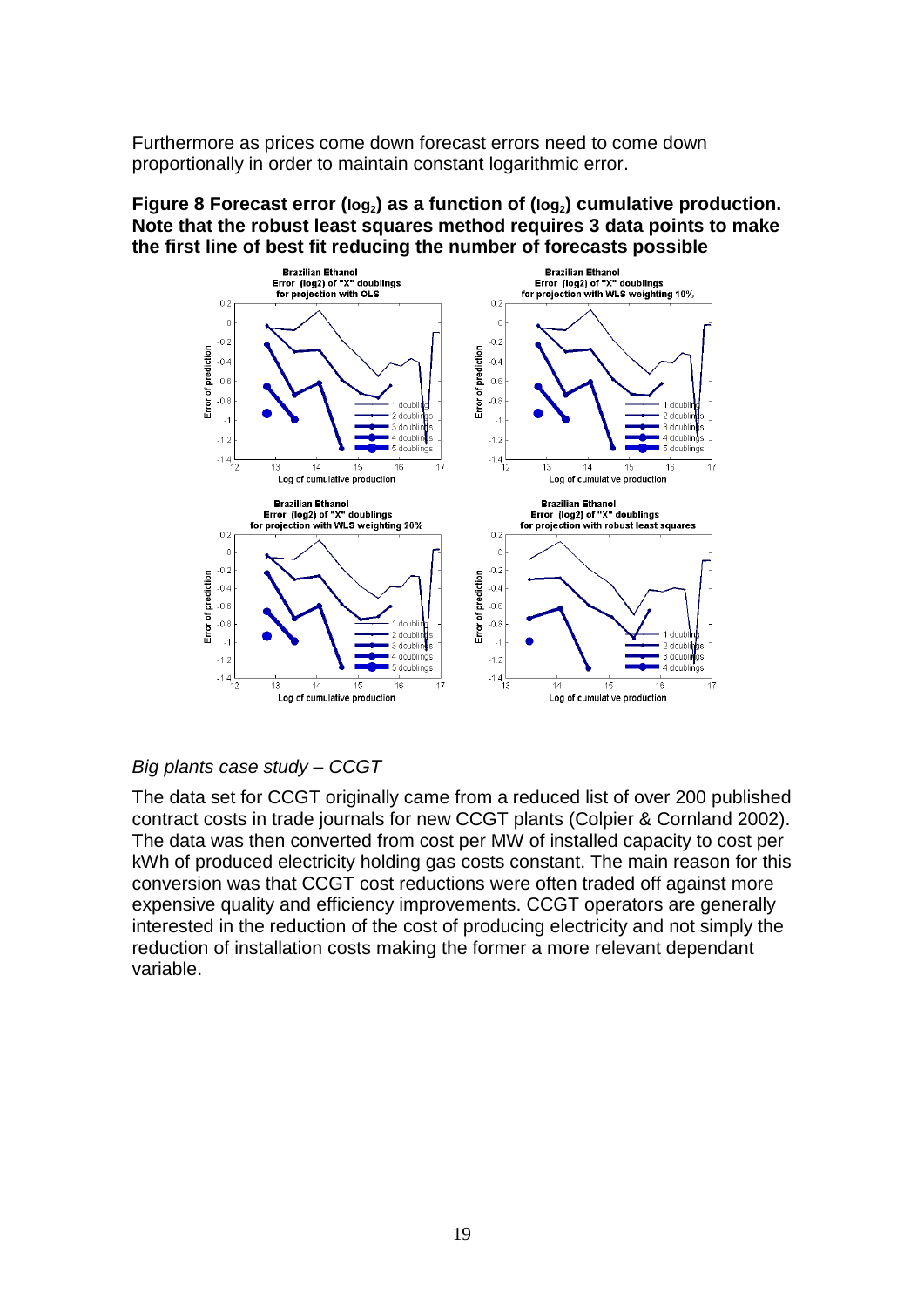Furthermore as prices come down forecast errors need to come down proportionally in order to maintain constant logarithmic error.

#### <span id="page-18-0"></span>**Figure 8 Forecast error (log2) as a function of (log2) cumulative production. Note that the robust least squares method requires 3 data points to make the first line of best fit reducing the number of forecasts possible**



# *Big plants case study – CCGT*

The data set for CCGT originally came from a reduced list of over 200 published contract costs in trade journals for new CCGT plants (Colpier & Cornland 2002). The data was then converted from cost per MW of installed capacity to cost per kWh of produced electricity holding gas costs constant. The main reason for this conversion was that CCGT cost reductions were often traded off against more expensive quality and efficiency improvements. CCGT operators are generally interested in the reduction of the cost of producing electricity and not simply the reduction of installation costs making the former a more relevant dependant variable.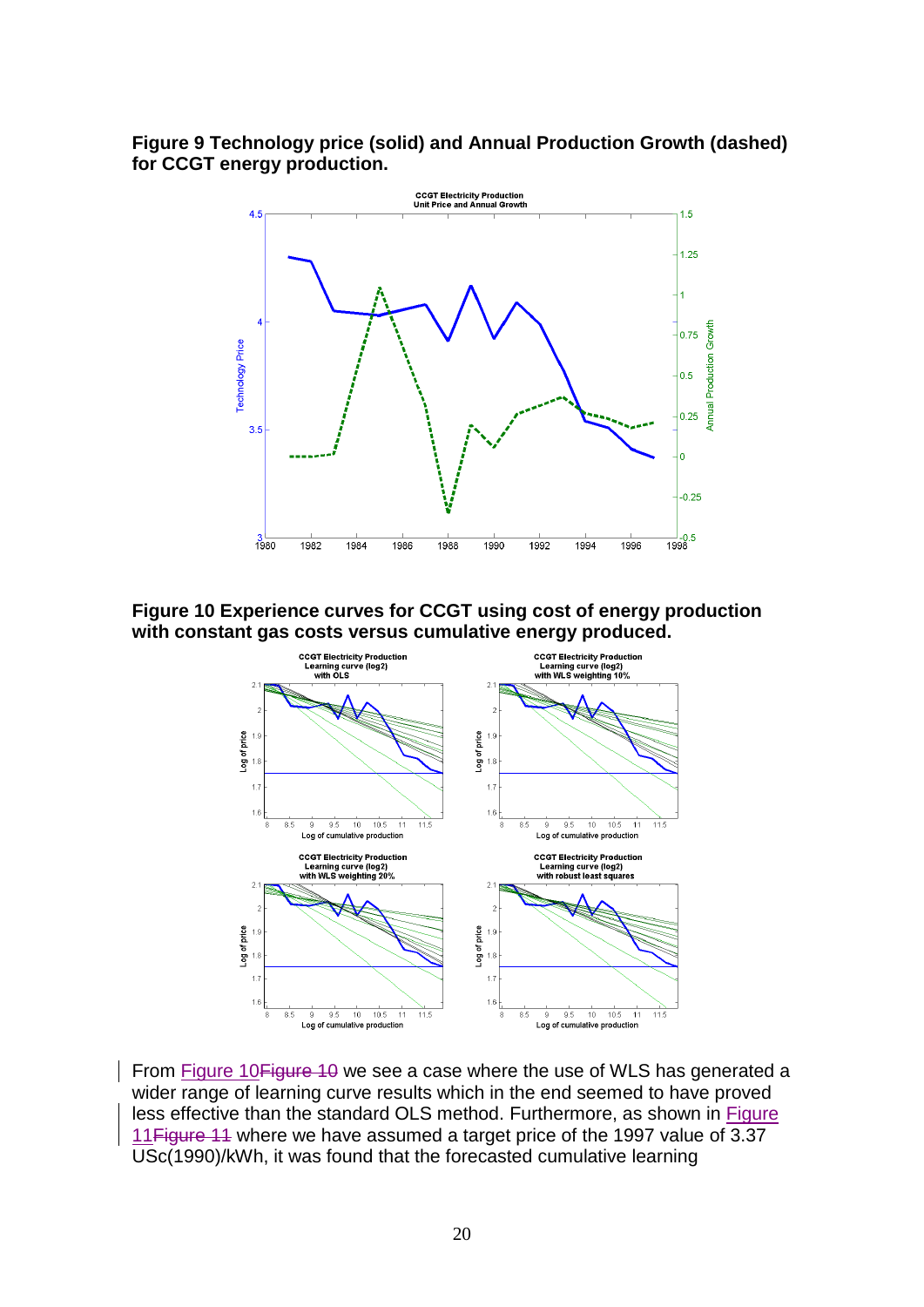## **Figure 9 Technology price (solid) and Annual Production Growth (dashed) for CCGT energy production.**



<span id="page-19-0"></span>**Figure 10 Experience curves for CCGT using cost of energy production with constant gas costs versus cumulative energy produced.**



From Figure 10 Figure 10 we see a case where the use of WLS has generated a wider range of learning curve results which in the end seemed to have proved less effective than the standard OLS method. Furthermore, as shown in [Figure](#page-20-0)  [11Figure 11](#page-20-0) where we have assumed a target price of the 1997 value of 3.37 USc(1990)/kWh, it was found that the forecasted cumulative learning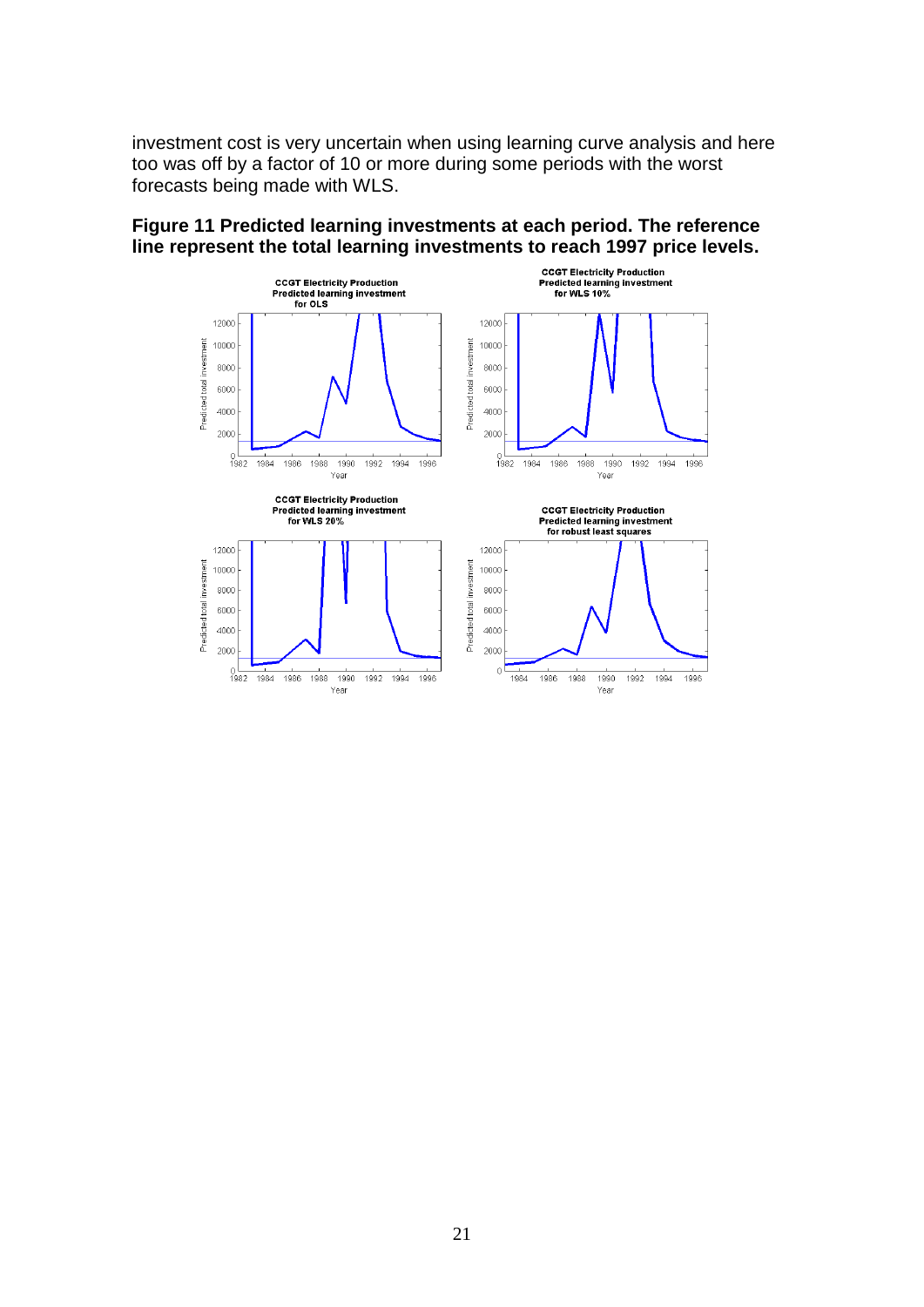investment cost is very uncertain when using learning curve analysis and here too was off by a factor of 10 or more during some periods with the worst forecasts being made with WLS.



#### <span id="page-20-0"></span>**Figure 11 Predicted learning investments at each period. The reference line represent the total learning investments to reach 1997 price levels.**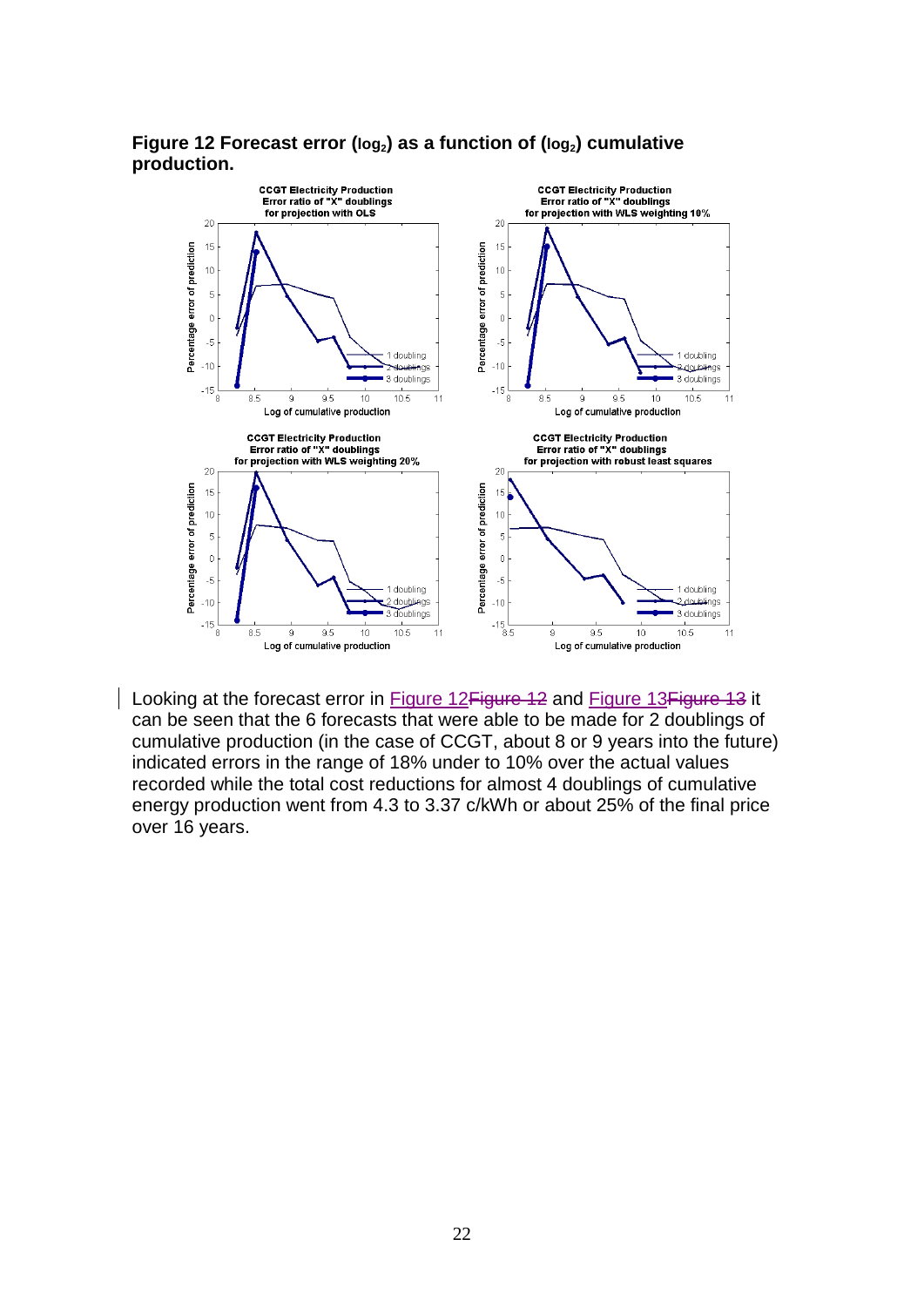<span id="page-21-0"></span>



Looking at the forecast error in Figure 12 Figure 12 and Figure 13 Figure 13 it can be seen that the 6 forecasts that were able to be made for 2 doublings of cumulative production (in the case of CCGT, about 8 or 9 years into the future) indicated errors in the range of 18% under to 10% over the actual values recorded while the total cost reductions for almost 4 doublings of cumulative energy production went from 4.3 to 3.37 c/kWh or about 25% of the final price over 16 years.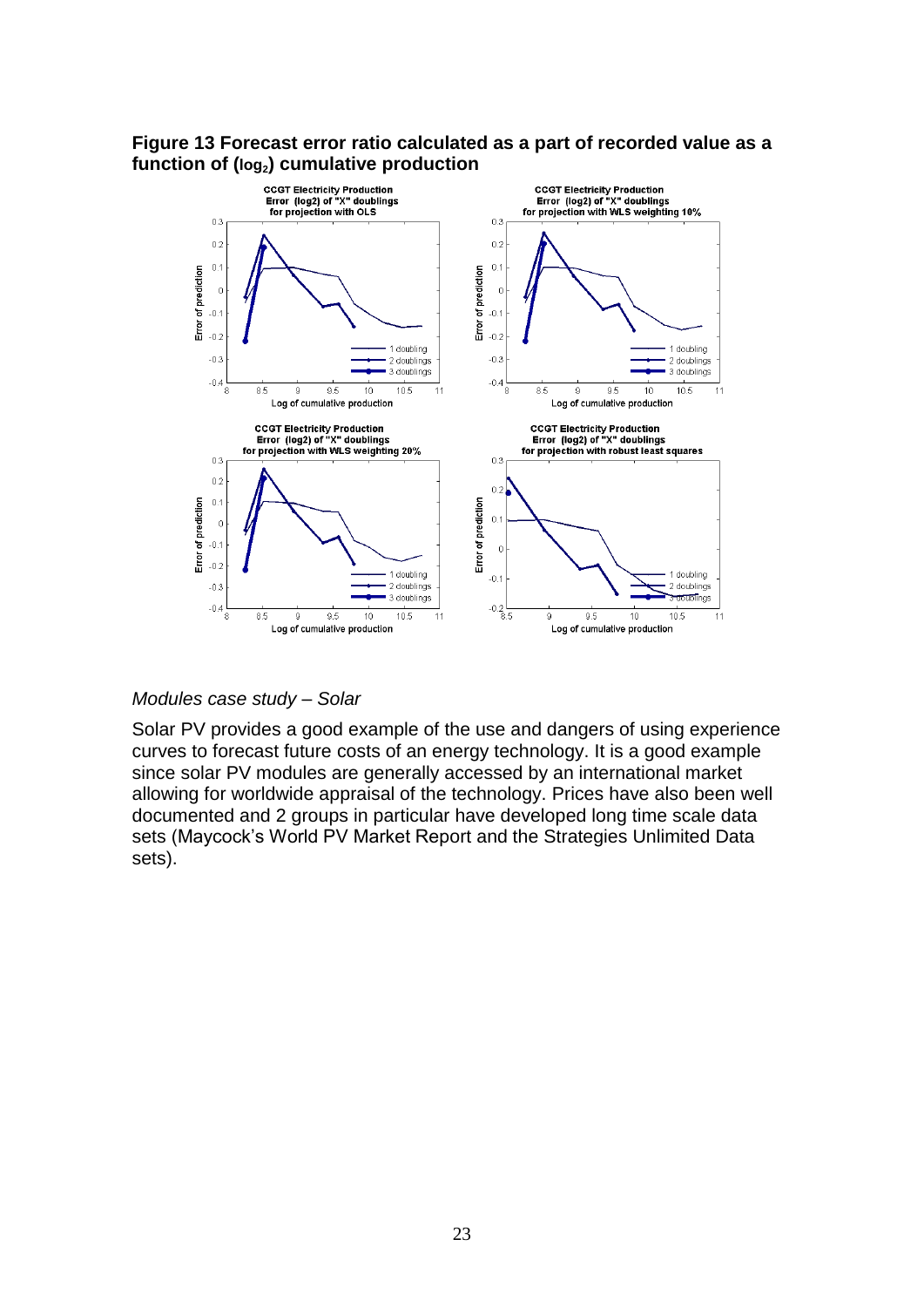## <span id="page-22-0"></span>**Figure 13 Forecast error ratio calculated as a part of recorded value as a function of (log2) cumulative production**



#### *Modules case study – Solar*

Solar PV provides a good example of the use and dangers of using experience curves to forecast future costs of an energy technology. It is a good example since solar PV modules are generally accessed by an international market allowing for worldwide appraisal of the technology. Prices have also been well documented and 2 groups in particular have developed long time scale data sets (Maycock's World PV Market Report and the Strategies Unlimited Data sets).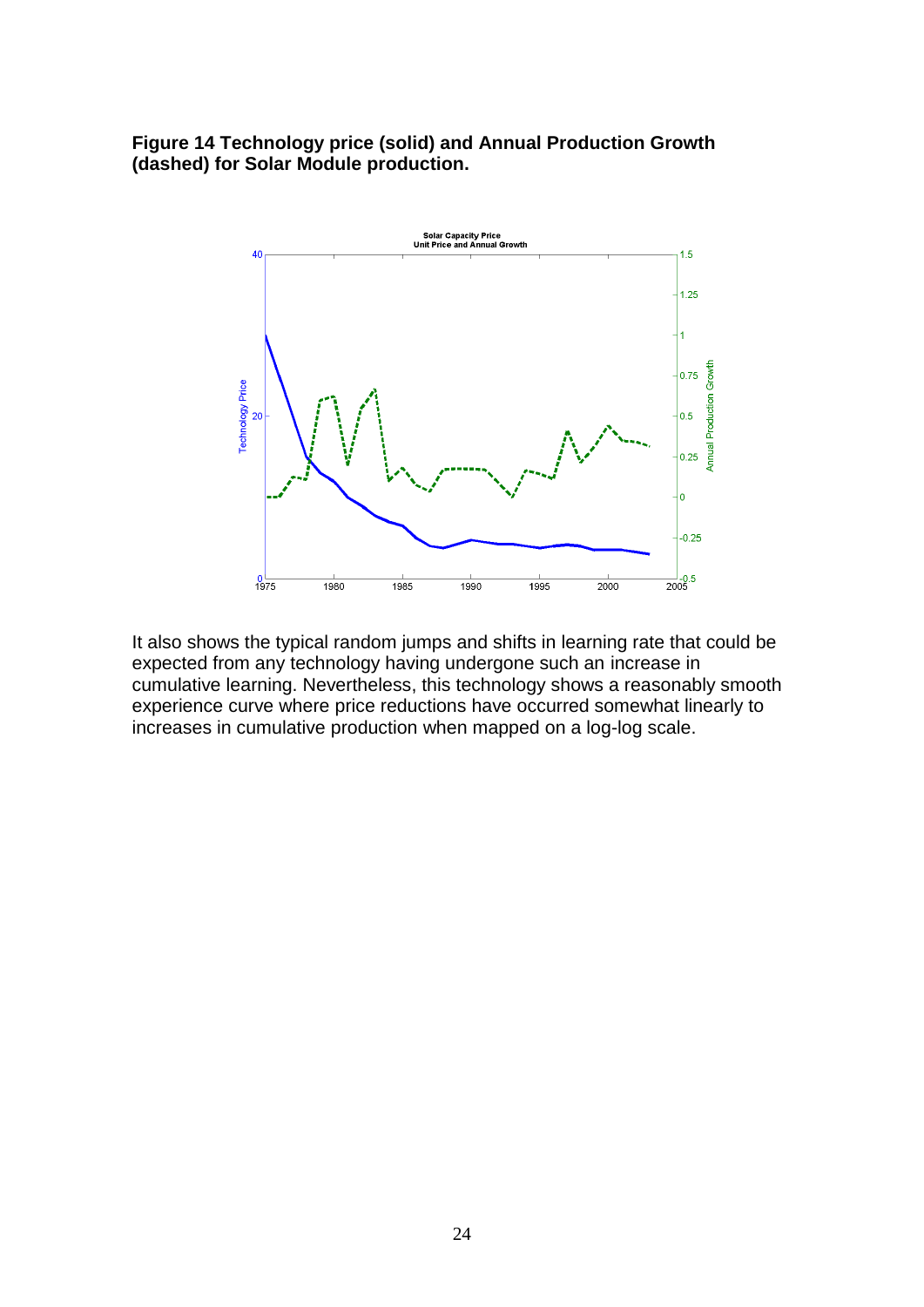**Figure 14 Technology price (solid) and Annual Production Growth (dashed) for Solar Module production.**



It also shows the typical random jumps and shifts in learning rate that could be expected from any technology having undergone such an increase in cumulative learning. Nevertheless, this technology shows a reasonably smooth experience curve where price reductions have occurred somewhat linearly to increases in cumulative production when mapped on a log-log scale.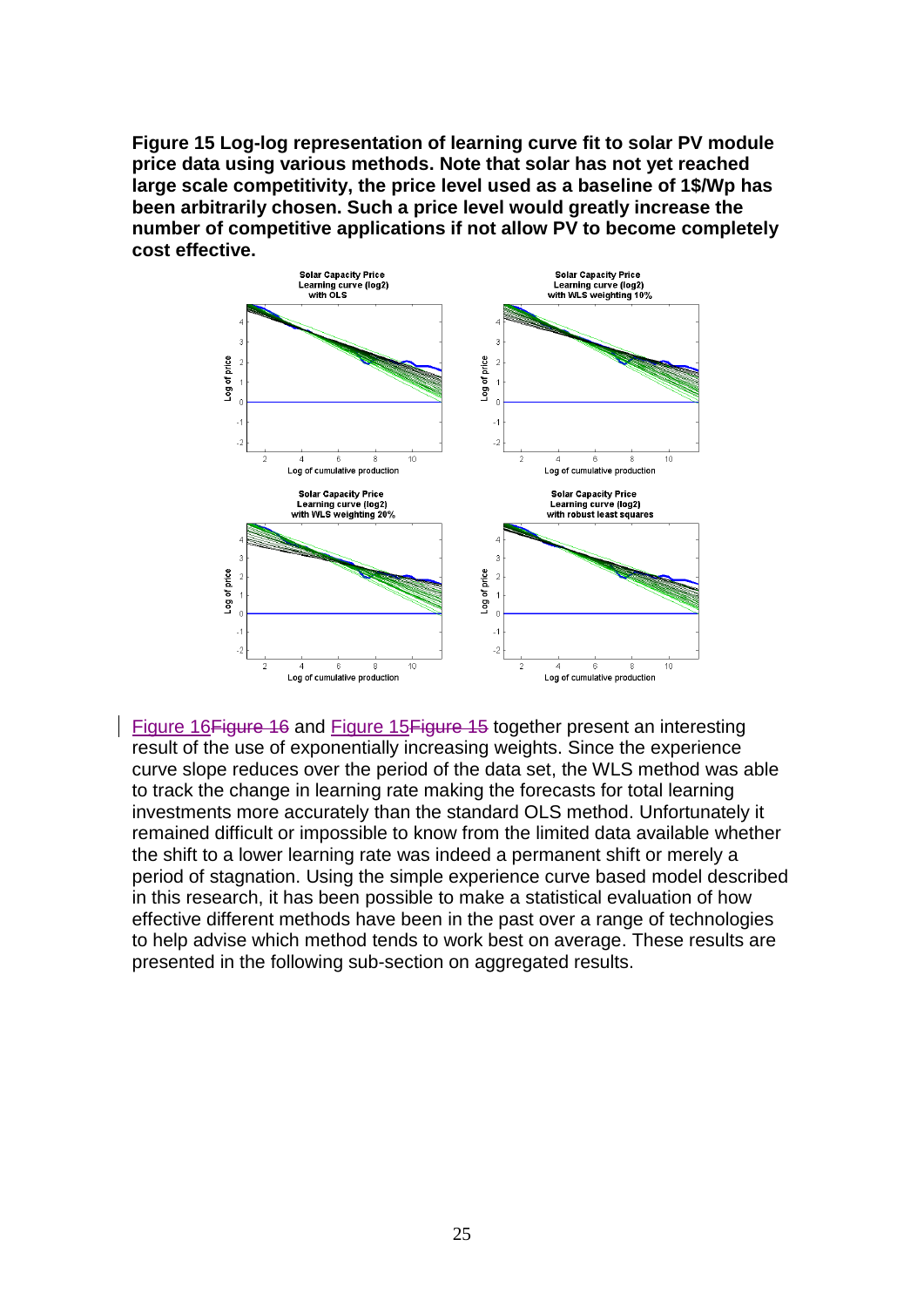<span id="page-24-0"></span>**Figure 15 Log-log representation of learning curve fit to solar PV module price data using various methods. Note that solar has not yet reached large scale competitivity, the price level used as a baseline of 1\$/Wp has been arbitrarily chosen. Such a price level would greatly increase the number of competitive applications if not allow PV to become completely cost effective.**



[Figure 16Figure 16](#page-25-0) and [Figure 15Figure 15](#page-24-0) together present an interesting result of the use of exponentially increasing weights. Since the experience curve slope reduces over the period of the data set, the WLS method was able to track the change in learning rate making the forecasts for total learning investments more accurately than the standard OLS method. Unfortunately it remained difficult or impossible to know from the limited data available whether the shift to a lower learning rate was indeed a permanent shift or merely a period of stagnation. Using the simple experience curve based model described in this research, it has been possible to make a statistical evaluation of how effective different methods have been in the past over a range of technologies to help advise which method tends to work best on average. These results are presented in the following sub-section on aggregated results.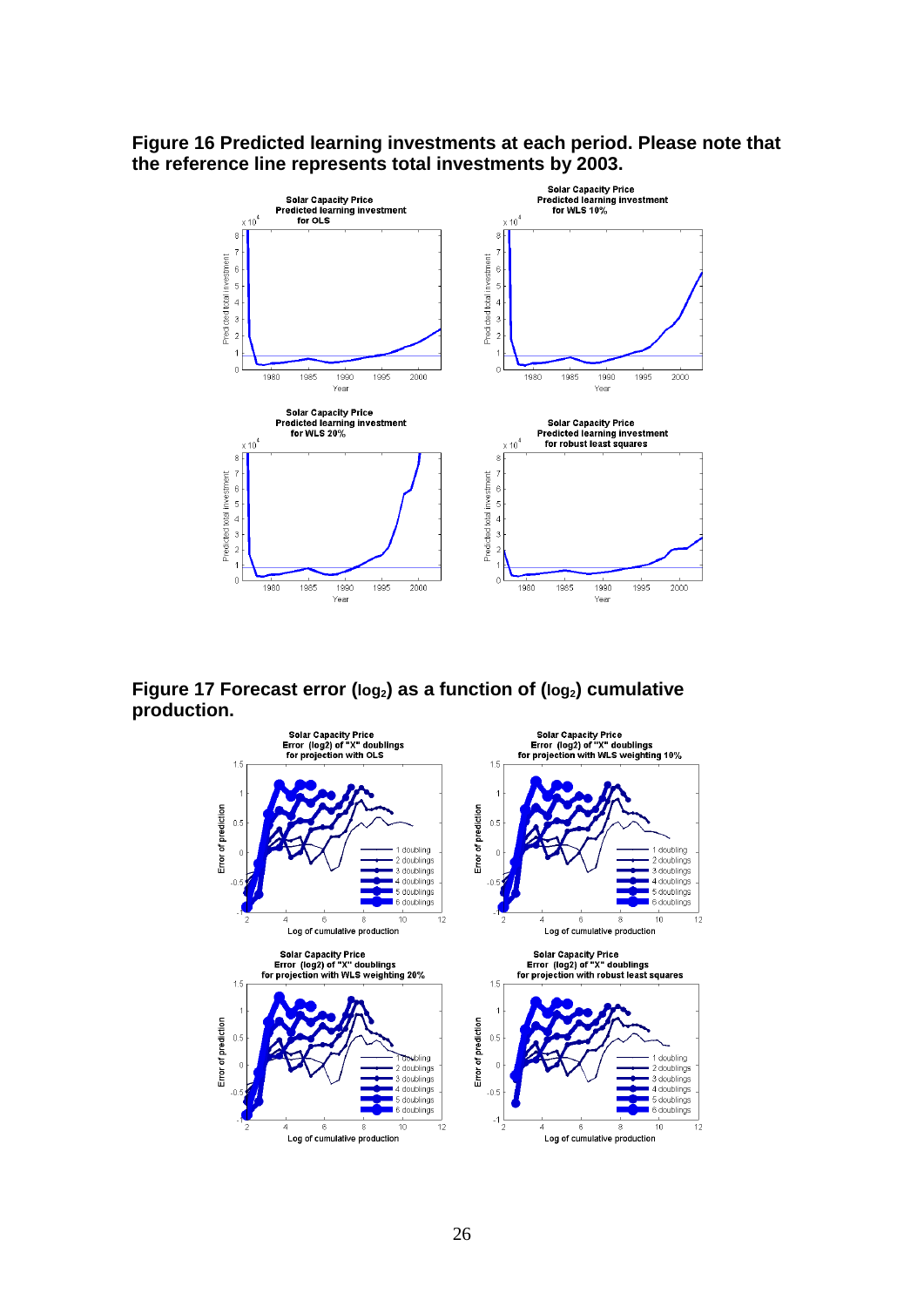#### <span id="page-25-0"></span>**Figure 16 Predicted learning investments at each period. Please note that the reference line represents total investments by 2003.**



**Figure 17 Forecast error (log2) as a function of (log2) cumulative production.**

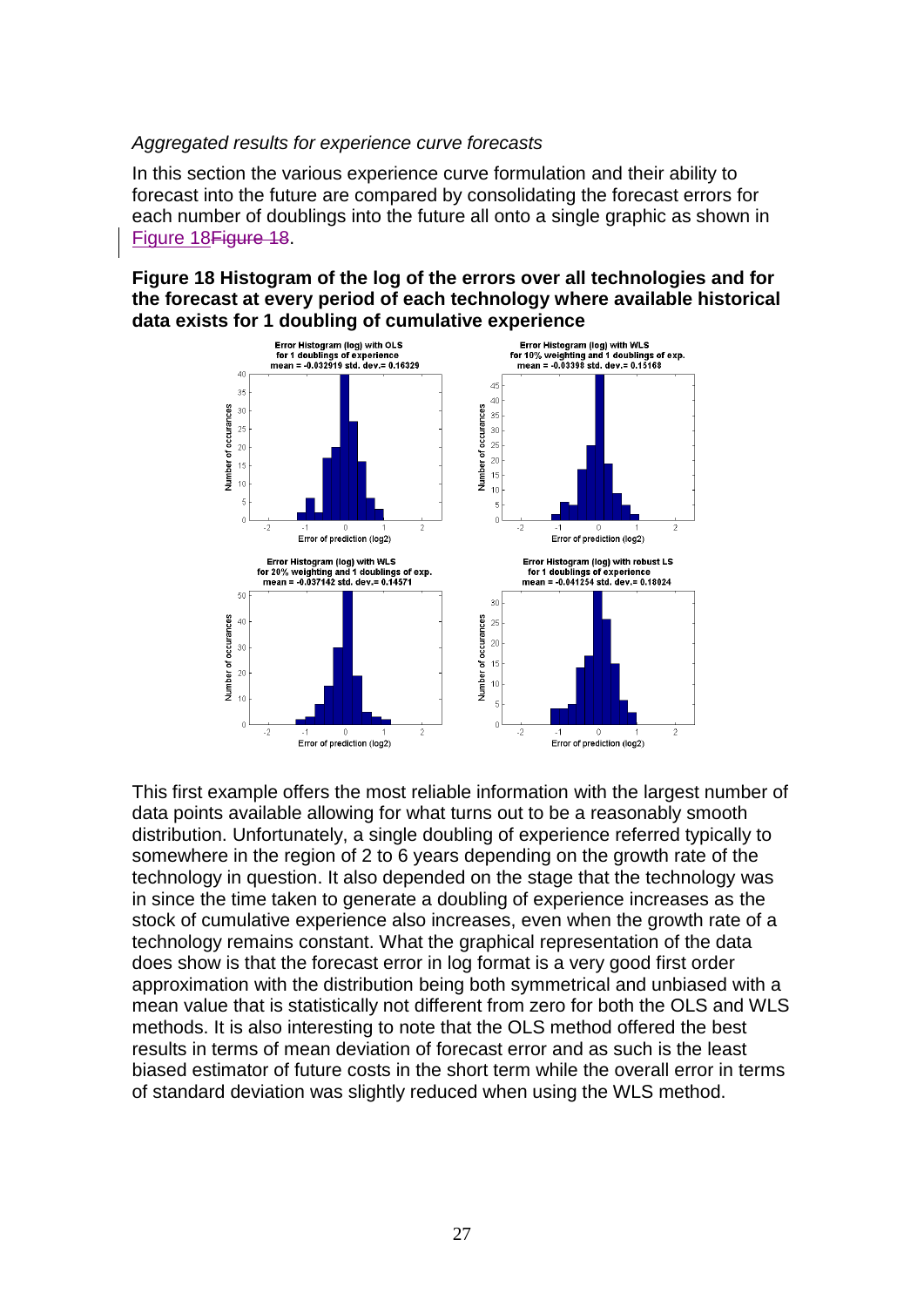#### *Aggregated results for experience curve forecasts*

In this section the various experience curve formulation and their ability to forecast into the future are compared by consolidating the forecast errors for each number of doublings into the future all onto a single graphic as shown in [Figure 18Figure 18.](#page-26-0)

<span id="page-26-0"></span>**Figure 18 Histogram of the log of the errors over all technologies and for the forecast at every period of each technology where available historical data exists for 1 doubling of cumulative experience**



This first example offers the most reliable information with the largest number of data points available allowing for what turns out to be a reasonably smooth distribution. Unfortunately, a single doubling of experience referred typically to somewhere in the region of 2 to 6 years depending on the growth rate of the technology in question. It also depended on the stage that the technology was in since the time taken to generate a doubling of experience increases as the stock of cumulative experience also increases, even when the growth rate of a technology remains constant. What the graphical representation of the data does show is that the forecast error in log format is a very good first order approximation with the distribution being both symmetrical and unbiased with a mean value that is statistically not different from zero for both the OLS and WLS methods. It is also interesting to note that the OLS method offered the best results in terms of mean deviation of forecast error and as such is the least biased estimator of future costs in the short term while the overall error in terms of standard deviation was slightly reduced when using the WLS method.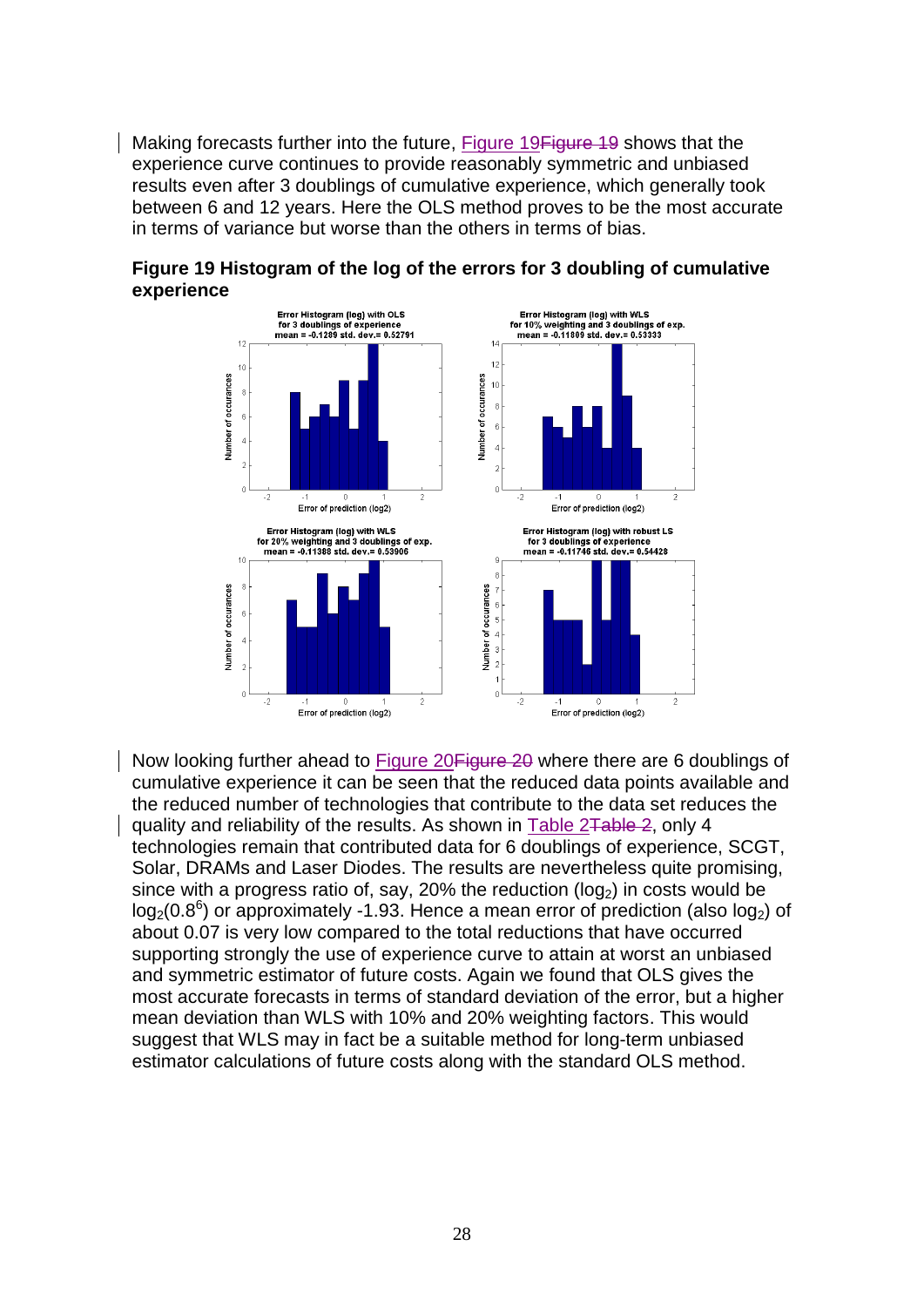Making forecasts further into the future, [Figure 19Figure 19](#page-27-0) shows that the experience curve continues to provide reasonably symmetric and unbiased results even after 3 doublings of cumulative experience, which generally took between 6 and 12 years. Here the OLS method proves to be the most accurate in terms of variance but worse than the others in terms of bias.



<span id="page-27-0"></span>

Now looking further ahead to [Figure 20Figure 20](#page-28-0) where there are 6 doublings of cumulative experience it can be seen that the reduced data points available and the reduced number of technologies that contribute to the data set reduces the quality and reliability of the results. As shown in [Table 2Table 2,](#page-14-0) only 4 technologies remain that contributed data for 6 doublings of experience, SCGT, Solar, DRAMs and Laser Diodes. The results are nevertheless quite promising, since with a progress ratio of, say, 20% the reduction ( $log<sub>2</sub>$ ) in costs would be  $log<sub>2</sub>(0.8<sup>6</sup>)$  or approximately -1.93. Hence a mean error of prediction (also  $log<sub>2</sub>$ ) of about 0.07 is very low compared to the total reductions that have occurred supporting strongly the use of experience curve to attain at worst an unbiased and symmetric estimator of future costs. Again we found that OLS gives the most accurate forecasts in terms of standard deviation of the error, but a higher mean deviation than WLS with 10% and 20% weighting factors. This would suggest that WLS may in fact be a suitable method for long-term unbiased estimator calculations of future costs along with the standard OLS method.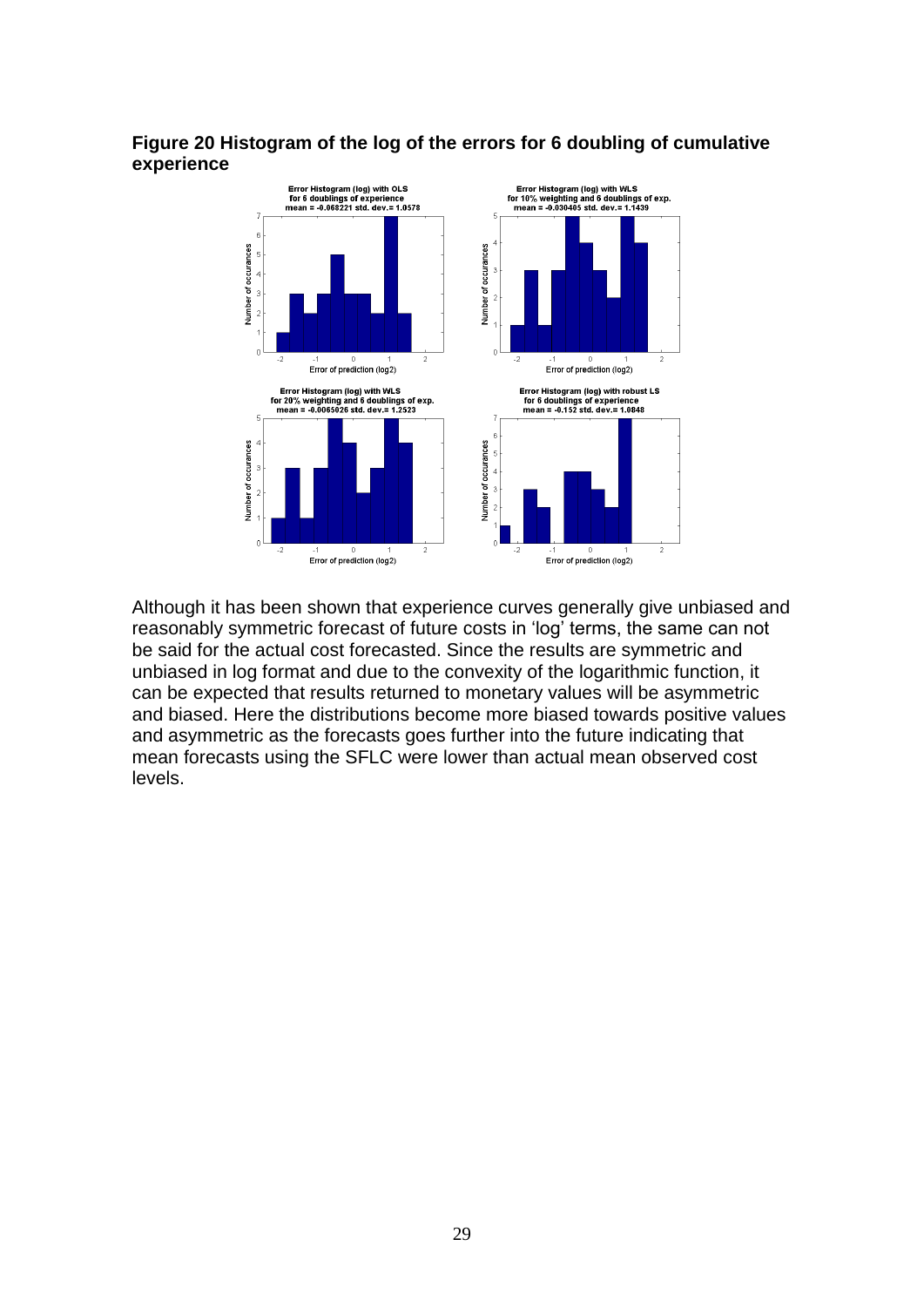## <span id="page-28-0"></span>**Figure 20 Histogram of the log of the errors for 6 doubling of cumulative experience**



Although it has been shown that experience curves generally give unbiased and reasonably symmetric forecast of future costs in 'log' terms, the same can not be said for the actual cost forecasted. Since the results are symmetric and unbiased in log format and due to the convexity of the logarithmic function, it can be expected that results returned to monetary values will be asymmetric and biased. Here the distributions become more biased towards positive values and asymmetric as the forecasts goes further into the future indicating that mean forecasts using the SFLC were lower than actual mean observed cost levels.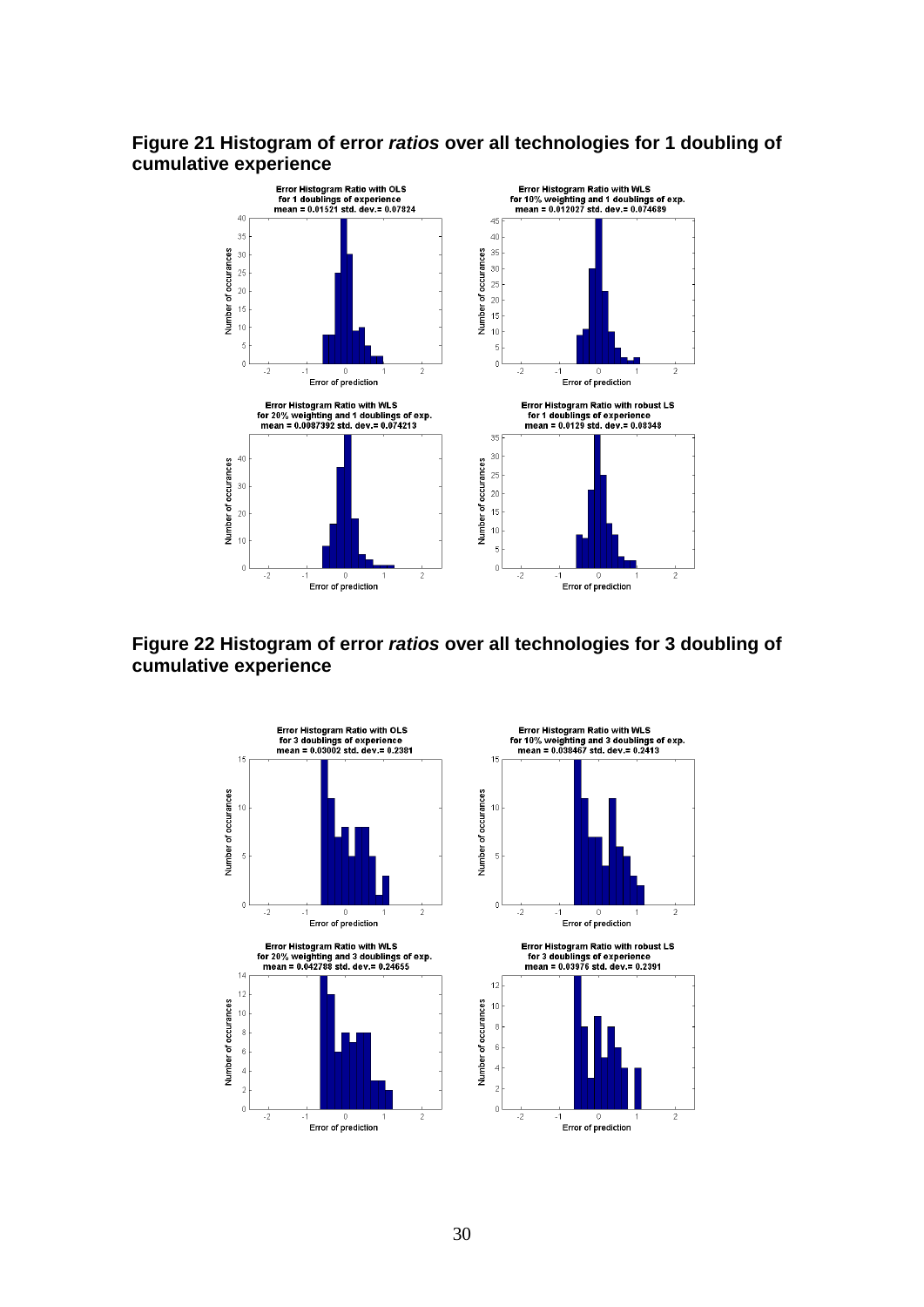### **Figure 21 Histogram of error** *ratios* **over all technologies for 1 doubling of cumulative experience**



## **Figure 22 Histogram of error** *ratios* **over all technologies for 3 doubling of cumulative experience**



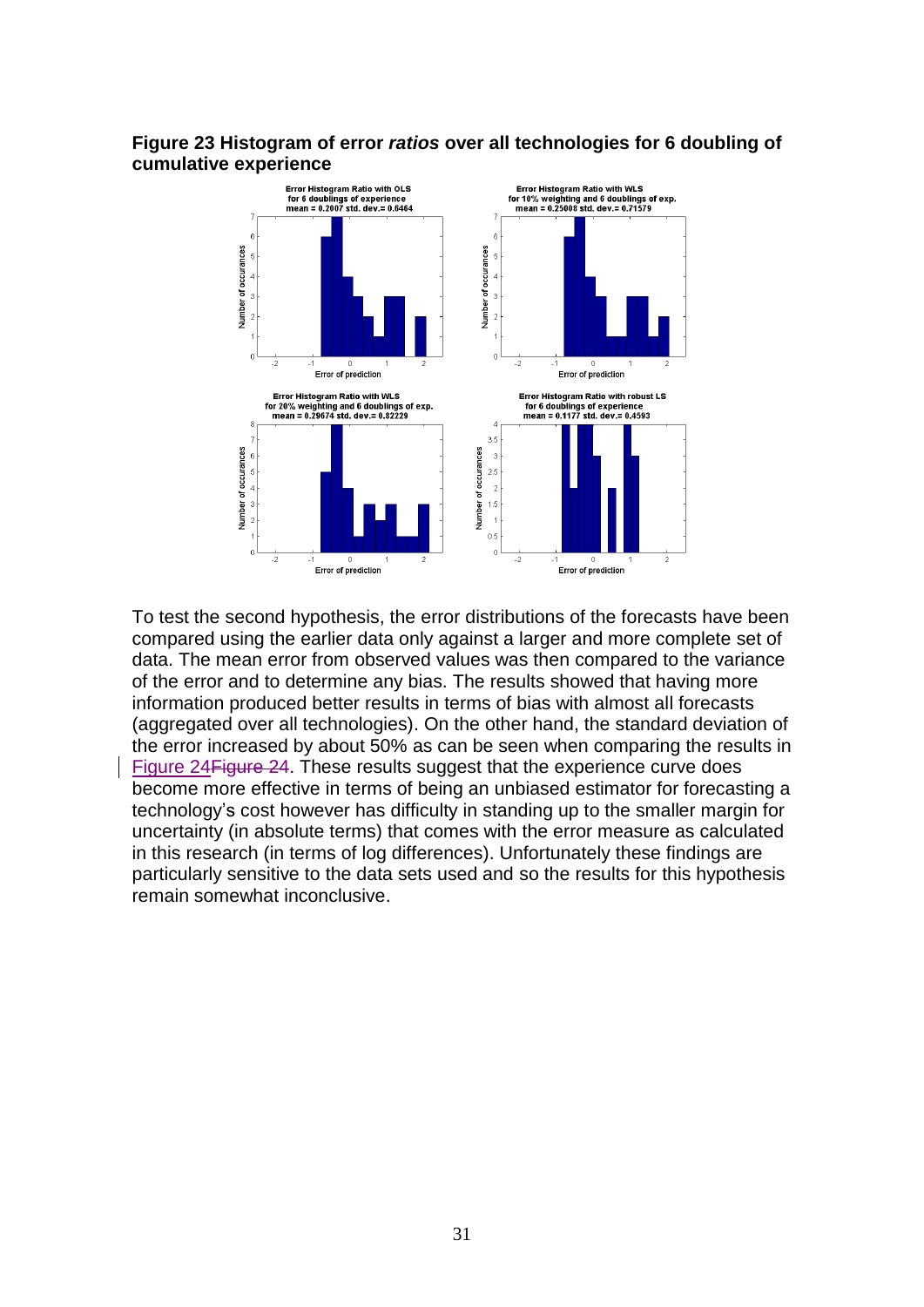## **Figure 23 Histogram of error** *ratios* **over all technologies for 6 doubling of cumulative experience**



To test the second hypothesis, the error distributions of the forecasts have been compared using the earlier data only against a larger and more complete set of data. The mean error from observed values was then compared to the variance of the error and to determine any bias. The results showed that having more information produced better results in terms of bias with almost all forecasts (aggregated over all technologies). On the other hand, the standard deviation of the error increased by about 50% as can be seen when comparing the results in [Figure 24Figure 24.](#page-31-0) These results suggest that the experience curve does become more effective in terms of being an unbiased estimator for forecasting a technology"s cost however has difficulty in standing up to the smaller margin for uncertainty (in absolute terms) that comes with the error measure as calculated in this research (in terms of log differences). Unfortunately these findings are particularly sensitive to the data sets used and so the results for this hypothesis remain somewhat inconclusive.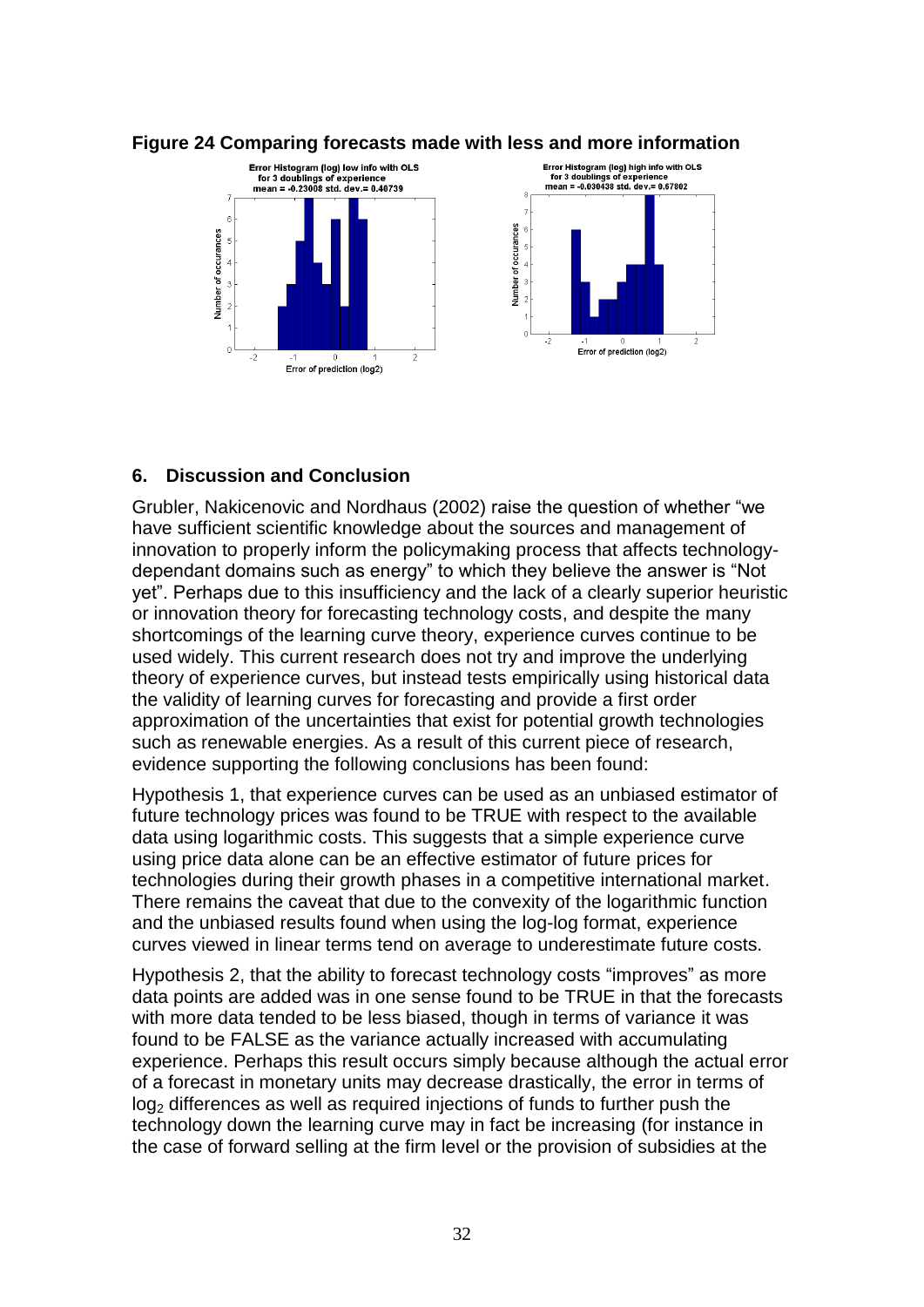

#### <span id="page-31-0"></span>**Figure 24 Comparing forecasts made with less and more information**

# **6. Discussion and Conclusion**

Grubler, Nakicenovic and Nordhaus (2002) raise the question of whether "we have sufficient scientific knowledge about the sources and management of innovation to properly inform the policymaking process that affects technologydependant domains such as energy" to which they believe the answer is "Not yet". Perhaps due to this insufficiency and the lack of a clearly superior heuristic or innovation theory for forecasting technology costs, and despite the many shortcomings of the learning curve theory, experience curves continue to be used widely. This current research does not try and improve the underlying theory of experience curves, but instead tests empirically using historical data the validity of learning curves for forecasting and provide a first order approximation of the uncertainties that exist for potential growth technologies such as renewable energies. As a result of this current piece of research, evidence supporting the following conclusions has been found:

Hypothesis 1, that experience curves can be used as an unbiased estimator of future technology prices was found to be TRUE with respect to the available data using logarithmic costs. This suggests that a simple experience curve using price data alone can be an effective estimator of future prices for technologies during their growth phases in a competitive international market. There remains the caveat that due to the convexity of the logarithmic function and the unbiased results found when using the log-log format, experience curves viewed in linear terms tend on average to underestimate future costs.

Hypothesis 2, that the ability to forecast technology costs "improves" as more data points are added was in one sense found to be TRUE in that the forecasts with more data tended to be less biased, though in terms of variance it was found to be FALSE as the variance actually increased with accumulating experience. Perhaps this result occurs simply because although the actual error of a forecast in monetary units may decrease drastically, the error in terms of  $log<sub>2</sub>$  differences as well as required injections of funds to further push the technology down the learning curve may in fact be increasing (for instance in the case of forward selling at the firm level or the provision of subsidies at the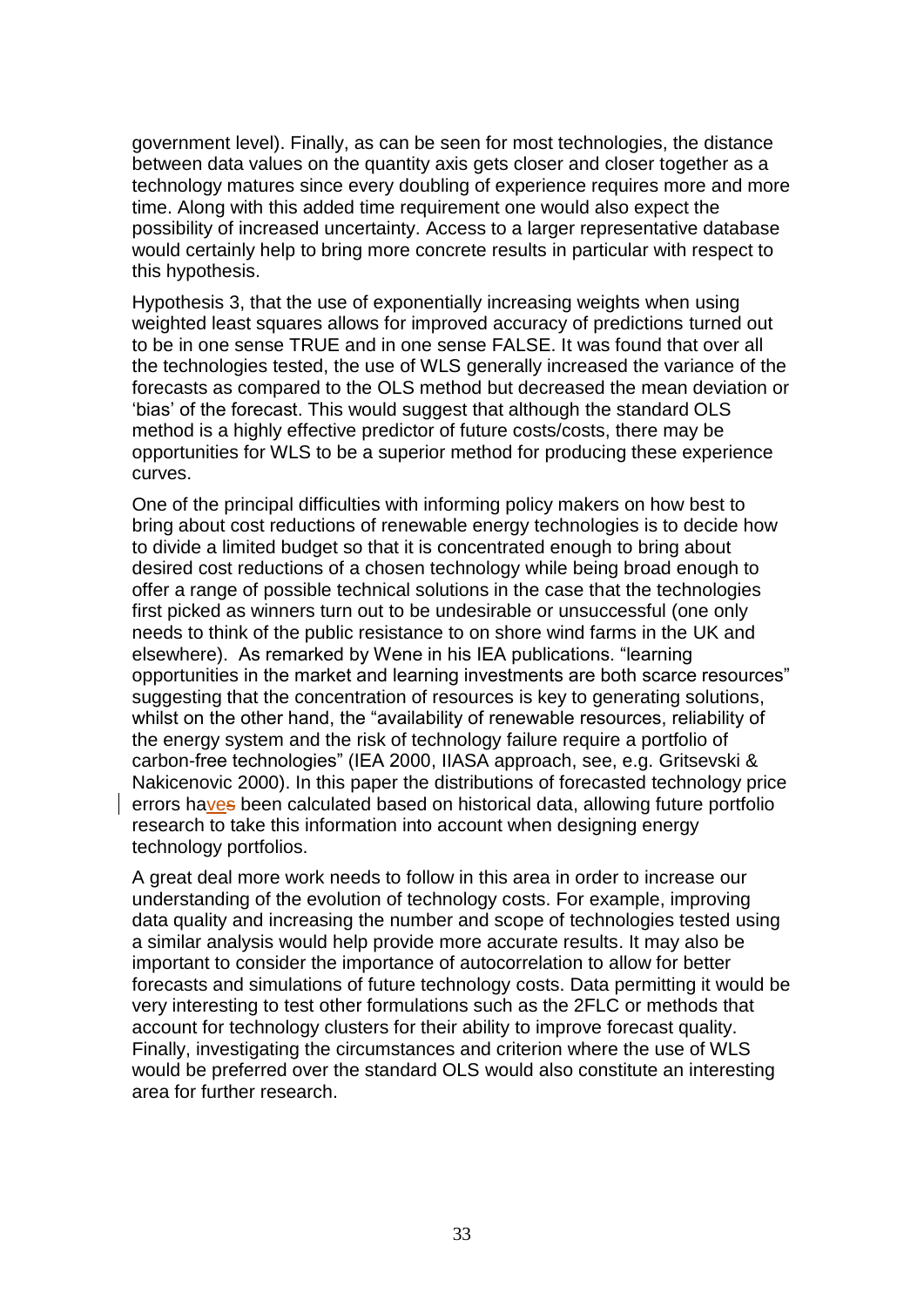government level). Finally, as can be seen for most technologies, the distance between data values on the quantity axis gets closer and closer together as a technology matures since every doubling of experience requires more and more time. Along with this added time requirement one would also expect the possibility of increased uncertainty. Access to a larger representative database would certainly help to bring more concrete results in particular with respect to this hypothesis.

Hypothesis 3, that the use of exponentially increasing weights when using weighted least squares allows for improved accuracy of predictions turned out to be in one sense TRUE and in one sense FALSE. It was found that over all the technologies tested, the use of WLS generally increased the variance of the forecasts as compared to the OLS method but decreased the mean deviation or "bias" of the forecast. This would suggest that although the standard OLS method is a highly effective predictor of future costs/costs, there may be opportunities for WLS to be a superior method for producing these experience curves.

One of the principal difficulties with informing policy makers on how best to bring about cost reductions of renewable energy technologies is to decide how to divide a limited budget so that it is concentrated enough to bring about desired cost reductions of a chosen technology while being broad enough to offer a range of possible technical solutions in the case that the technologies first picked as winners turn out to be undesirable or unsuccessful (one only needs to think of the public resistance to on shore wind farms in the UK and elsewhere). As remarked by Wene in his IEA publications. "learning opportunities in the market and learning investments are both scarce resources" suggesting that the concentration of resources is key to generating solutions, whilst on the other hand, the "availability of renewable resources, reliability of the energy system and the risk of technology failure require a portfolio of carbon-free technologies" (IEA 2000, IIASA approach, see, e.g. Gritsevski & Nakicenovic 2000). In this paper the distributions of forecasted technology price errors haves been calculated based on historical data, allowing future portfolio research to take this information into account when designing energy technology portfolios.

A great deal more work needs to follow in this area in order to increase our understanding of the evolution of technology costs. For example, improving data quality and increasing the number and scope of technologies tested using a similar analysis would help provide more accurate results. It may also be important to consider the importance of autocorrelation to allow for better forecasts and simulations of future technology costs. Data permitting it would be very interesting to test other formulations such as the 2FLC or methods that account for technology clusters for their ability to improve forecast quality. Finally, investigating the circumstances and criterion where the use of WLS would be preferred over the standard OLS would also constitute an interesting area for further research.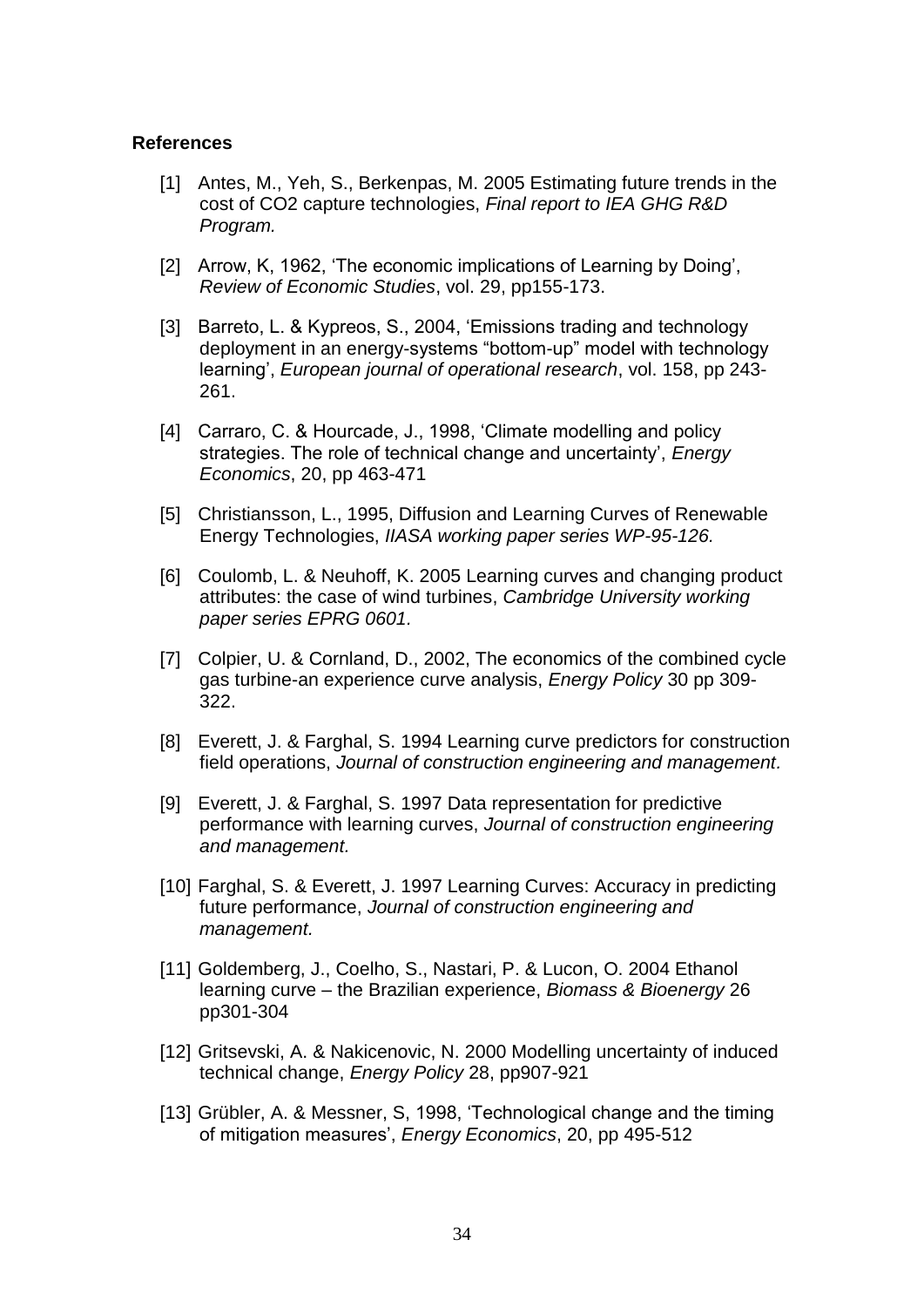#### **References**

- [1] Antes, M., Yeh, S., Berkenpas, M. 2005 Estimating future trends in the cost of CO2 capture technologies, *Final report to IEA GHG R&D Program.*
- [2] Arrow, K, 1962, 'The economic implications of Learning by Doing', *Review of Economic Studies*, vol. 29, pp155-173.
- [3] Barreto, L. & Kypreos, S., 2004, "Emissions trading and technology deployment in an energy-systems "bottom-up" model with technology learning", *European journal of operational research*, vol. 158, pp 243- 261.
- [4] Carraro, C. & Hourcade, J., 1998, 'Climate modelling and policy strategies. The role of technical change and uncertainty", *Energy Economics*, 20, pp 463-471
- [5] Christiansson, L., 1995, Diffusion and Learning Curves of Renewable Energy Technologies, *IIASA working paper series WP-95-126.*
- [6] Coulomb, L. & Neuhoff, K. 2005 Learning curves and changing product attributes: the case of wind turbines, *Cambridge University working paper series EPRG 0601.*
- [7] Colpier, U. & Cornland, D., 2002, The economics of the combined cycle gas turbine-an experience curve analysis, *Energy Policy* 30 pp 309- 322.
- [8] Everett, J. & Farghal, S. 1994 Learning curve predictors for construction field operations, *Journal of construction engineering and management.*
- [9] Everett, J. & Farghal, S. 1997 Data representation for predictive performance with learning curves, *Journal of construction engineering and management.*
- [10] Farghal, S. & Everett, J. 1997 Learning Curves: Accuracy in predicting future performance, *Journal of construction engineering and management.*
- [11] Goldemberg, J., Coelho, S., Nastari, P. & Lucon, O. 2004 Ethanol learning curve – the Brazilian experience, *Biomass & Bioenergy* 26 pp301-304
- [12] Gritsevski, A. & Nakicenovic, N. 2000 Modelling uncertainty of induced technical change, *Energy Policy* 28, pp907-921
- [13] Grübler, A. & Messner, S. 1998, 'Technological change and the timing of mitigation measures", *Energy Economics*, 20, pp 495-512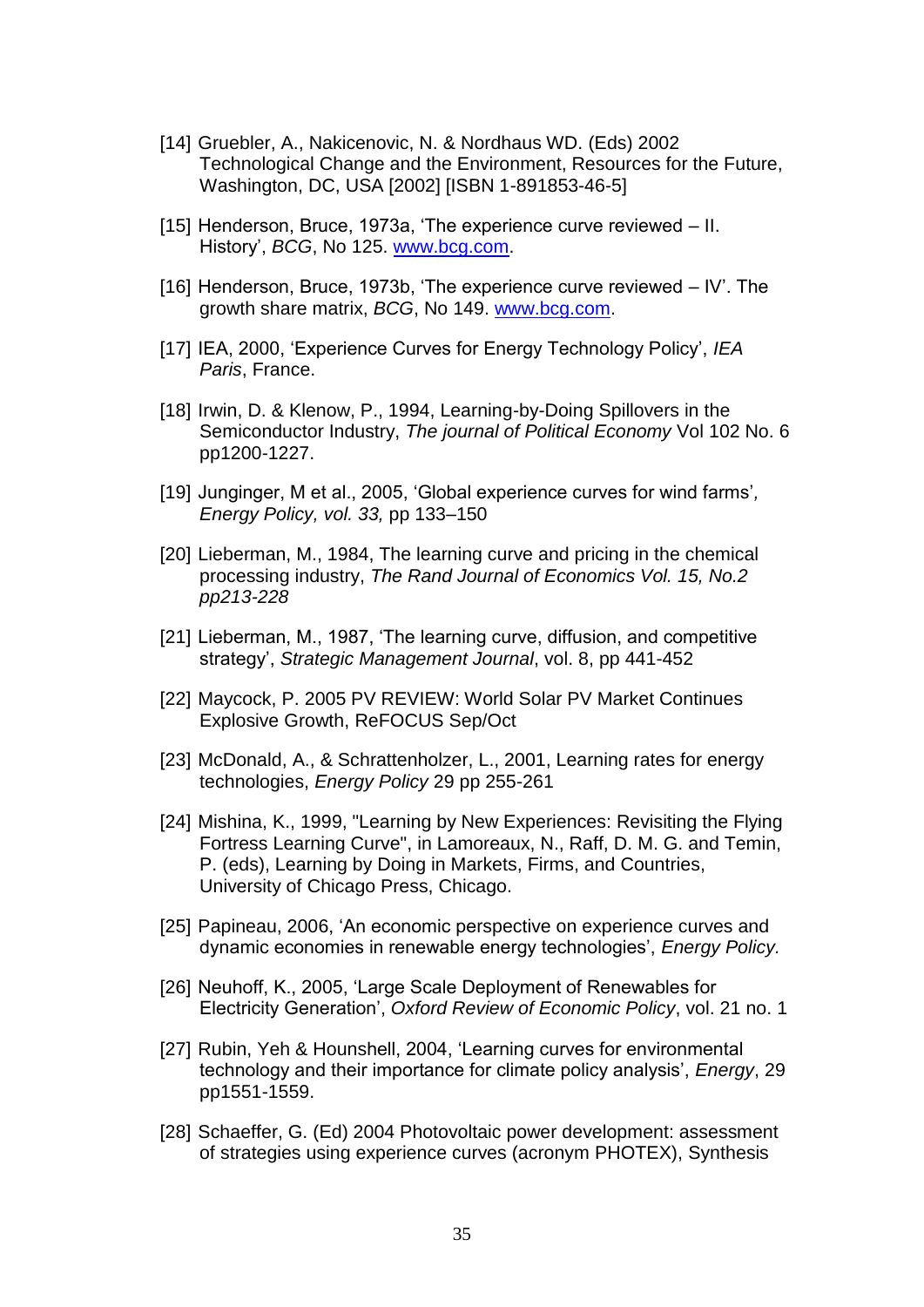- [14] Gruebler, A., Nakicenovic, N. & Nordhaus WD. (Eds) 2002 Technological Change and the Environment, Resources for the Future, Washington, DC, USA [2002] [ISBN 1-891853-46-5]
- [15] Henderson, Bruce, 1973a, "The experience curve reviewed II. History", *BCG*, No 125. [www.bcg.com.](http://www.bcg.com/)
- [16] Henderson, Bruce, 1973b, "The experience curve reviewed IV". The growth share matrix, *BCG*, No 149. [www.bcg.com.](http://www.bcg.com/)
- [17] IEA, 2000, "Experience Curves for Energy Technology Policy", *IEA Paris*, France.
- [18] Irwin, D. & Klenow, P., 1994, Learning-by-Doing Spillovers in the Semiconductor Industry, *The journal of Political Economy* Vol 102 No. 6 pp1200-1227.
- [19] Junginger, M et al., 2005, "Global experience curves for wind farms"*, Energy Policy, vol. 33,* pp 133–150
- [20] Lieberman, M., 1984, The learning curve and pricing in the chemical processing industry, *The Rand Journal of Economics Vol. 15, No.2 pp213-228*
- [21] Lieberman, M., 1987, 'The learning curve, diffusion, and competitive strategy", *Strategic Management Journal*, vol. 8, pp 441-452
- [22] Maycock, P. 2005 PV REVIEW: World Solar PV Market Continues Explosive Growth, ReFOCUS Sep/Oct
- [23] McDonald, A., & Schrattenholzer, L., 2001, Learning rates for energy technologies, *Energy Policy* 29 pp 255-261
- [24] Mishina, K., 1999, "Learning by New Experiences: Revisiting the Flying Fortress Learning Curve", in Lamoreaux, N., Raff, D. M. G. and Temin, P. (eds), Learning by Doing in Markets, Firms, and Countries, University of Chicago Press, Chicago.
- [25] Papineau, 2006, "An economic perspective on experience curves and dynamic economies in renewable energy technologies", *Energy Policy.*
- [26] Neuhoff, K., 2005, "Large Scale Deployment of Renewables for Electricity Generation", *Oxford Review of Economic Policy*, vol. 21 no. 1
- [27] Rubin, Yeh & Hounshell, 2004, 'Learning curves for environmental technology and their importance for climate policy analysis", *Energy*, 29 pp1551-1559.
- [28] Schaeffer, G. (Ed) 2004 Photovoltaic power development: assessment of strategies using experience curves (acronym PHOTEX), Synthesis